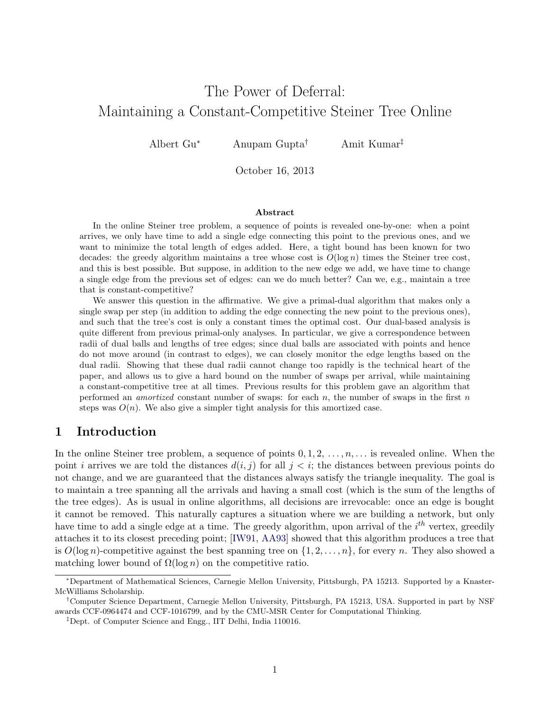# The Power of Deferral: Maintaining a Constant-Competitive Steiner Tree Online

Albert Gu<sup>∗</sup> Anupam Gupta† Amit Kumar‡

October 16, 2013

#### Abstract

In the online Steiner tree problem, a sequence of points is revealed one-by-one: when a point arrives, we only have time to add a single edge connecting this point to the previous ones, and we want to minimize the total length of edges added. Here, a tight bound has been known for two decades: the greedy algorithm maintains a tree whose cost is  $O(\log n)$  times the Steiner tree cost, and this is best possible. But suppose, in addition to the new edge we add, we have time to change a single edge from the previous set of edges: can we do much better? Can we, e.g., maintain a tree that is constant-competitive?

We answer this question in the affirmative. We give a primal-dual algorithm that makes only a single swap per step (in addition to adding the edge connecting the new point to the previous ones), and such that the tree's cost is only a constant times the optimal cost. Our dual-based analysis is quite different from previous primal-only analyses. In particular, we give a correspondence between radii of dual balls and lengths of tree edges; since dual balls are associated with points and hence do not move around (in contrast to edges), we can closely monitor the edge lengths based on the dual radii. Showing that these dual radii cannot change too rapidly is the technical heart of the paper, and allows us to give a hard bound on the number of swaps per arrival, while maintaining a constant-competitive tree at all times. Previous results for this problem gave an algorithm that performed an *amortized* constant number of swaps: for each  $n$ , the number of swaps in the first  $n$ steps was  $O(n)$ . We also give a simpler tight analysis for this amortized case.

# 1 Introduction

In the online Steiner tree problem, a sequence of points  $0, 1, 2, \ldots, n, \ldots$  is revealed online. When the point i arrives we are told the distances  $d(i, j)$  for all  $j < i$ ; the distances between previous points do not change, and we are guaranteed that the distances always satisfy the triangle inequality. The goal is to maintain a tree spanning all the arrivals and having a small cost (which is the sum of the lengths of the tree edges). As is usual in online algorithms, all decisions are irrevocable: once an edge is bought it cannot be removed. This naturally captures a situation where we are building a network, but only have time to add a single edge at a time. The greedy algorithm, upon arrival of the  $i^{th}$  vertex, greedily attaches it to its closest preceding point; [\[IW91,](#page-27-0) [AA93\]](#page-26-0) showed that this algorithm produces a tree that is  $O(\log n)$ -competitive against the best spanning tree on  $\{1, 2, \ldots, n\}$ , for every n. They also showed a matching lower bound of  $\Omega(\log n)$  on the competitive ratio.

<sup>∗</sup>Department of Mathematical Sciences, Carnegie Mellon University, Pittsburgh, PA 15213. Supported by a Knaster-McWilliams Scholarship.

<sup>†</sup>Computer Science Department, Carnegie Mellon University, Pittsburgh, PA 15213, USA. Supported in part by NSF awards CCF-0964474 and CCF-1016799, and by the CMU-MSR Center for Computational Thinking.

<sup>‡</sup>Dept. of Computer Science and Engg., IIT Delhi, India 110016.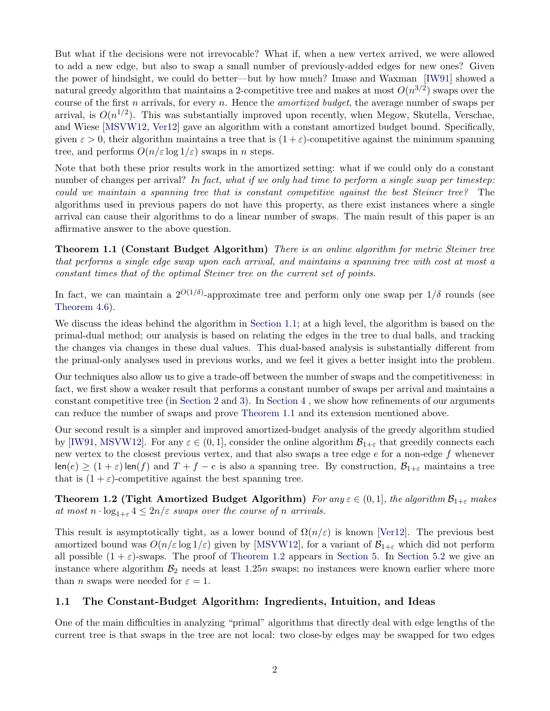But what if the decisions were not irrevocable? What if, when a new vertex arrived, we were allowed to add a new edge, but also to swap a small number of previously-added edges for new ones? Given the power of hindsight, we could do better—but by how much? Imase and Waxman [\[IW91\]](#page-27-0) showed a natural greedy algorithm that maintains a 2-competitive tree and makes at most  $O(n^{3/2})$  swaps over the course of the first n arrivals, for every n. Hence the *amortized budget*, the average number of swaps per arrival, is  $O(n^{1/2})$ . This was substantially improved upon recently, when Megow, Skutella, Verschae, and Wiese [\[MSVW12,](#page-27-1) [Ver12\]](#page-27-2) gave an algorithm with a constant amortized budget bound. Specifically, given  $\varepsilon > 0$ , their algorithm maintains a tree that is  $(1 + \varepsilon)$ -competitive against the minimum spanning tree, and performs  $O(n/\varepsilon \log 1/\varepsilon)$  swaps in *n* steps.

Note that both these prior results work in the amortized setting: what if we could only do a constant number of changes per arrival? In fact, what if we only had time to perform a single swap per timestep: could we maintain a spanning tree that is constant competitive against the best Steiner tree? The algorithms used in previous papers do not have this property, as there exist instances where a single arrival can cause their algorithms to do a linear number of swaps. The main result of this paper is an affirmative answer to the above question.

<span id="page-1-1"></span>**Theorem 1.1 (Constant Budget Algorithm)** There is an online algorithm for metric Steiner tree that performs a single edge swap upon each arrival, and maintains a spanning tree with cost at most a constant times that of the optimal Steiner tree on the current set of points.

In fact, we can maintain a  $2^{O(1/\delta)}$ -approximate tree and perform only one swap per  $1/\delta$  rounds (see [Theorem 4.6\)](#page-21-0).

We discuss the ideas behind the algorithm in [Section 1.1;](#page-1-0) at a high level, the algorithm is based on the primal-dual method; our analysis is based on relating the edges in the tree to dual balls, and tracking the changes via changes in these dual values. This dual-based analysis is substantially different from the primal-only analyses used in previous works, and we feel it gives a better insight into the problem.

Our techniques also allow us to give a trade-off between the number of swaps and the competitiveness: in fact, we first show a weaker result that performs a constant number of swaps per arrival and maintains a constant competitive tree (in [Section 2](#page-3-0) and [3\)](#page-9-0). In [Section 4](#page-17-0) , we show how refinements of our arguments can reduce the number of swaps and prove [Theorem 1.1](#page-1-1) and its extension mentioned above.

Our second result is a simpler and improved amortized-budget analysis of the greedy algorithm studied by [\[IW91,](#page-27-0) [MSVW12\]](#page-27-1). For any  $\varepsilon \in (0,1]$ , consider the online algorithm  $\mathcal{B}_{1+\varepsilon}$  that greedily connects each new vertex to the closest previous vertex, and that also swaps a tree edge  $e$  for a non-edge  $f$  whenever  $\text{len}(e) \geq (1+\varepsilon)\text{len}(f)$  and  $T+f-e$  is also a spanning tree. By construction,  $\mathcal{B}_{1+\varepsilon}$  maintains a tree that is  $(1 + \varepsilon)$ -competitive against the best spanning tree.

<span id="page-1-2"></span>**Theorem 1.2 (Tight Amortized Budget Algorithm)** For any  $\varepsilon \in (0,1]$ , the algorithm  $\mathcal{B}_{1+\varepsilon}$  makes at most  $n \cdot \log_{1+\varepsilon} 4 \leq 2n/\varepsilon$  swaps over the course of n arrivals.

This result is asymptotically tight, as a lower bound of  $\Omega(n/\varepsilon)$  is known [\[Ver12\]](#page-27-2). The previous best amortized bound was  $O(n/\varepsilon \log 1/\varepsilon)$  given by [\[MSVW12\]](#page-27-1), for a variant of  $\mathcal{B}_{1+\varepsilon}$  which did not perform all possible  $(1 + \varepsilon)$ -swaps. The proof of [Theorem 1.2](#page-1-2) appears in [Section 5.](#page-21-1) In [Section 5.2](#page-25-0) we give an instance where algorithm  $B_2$  needs at least 1.25n swaps; no instances were known earlier where more than *n* swaps were needed for  $\varepsilon = 1$ .

## <span id="page-1-0"></span>1.1 The Constant-Budget Algorithm: Ingredients, Intuition, and Ideas

One of the main difficulties in analyzing "primal" algorithms that directly deal with edge lengths of the current tree is that swaps in the tree are not local: two close-by edges may be swapped for two edges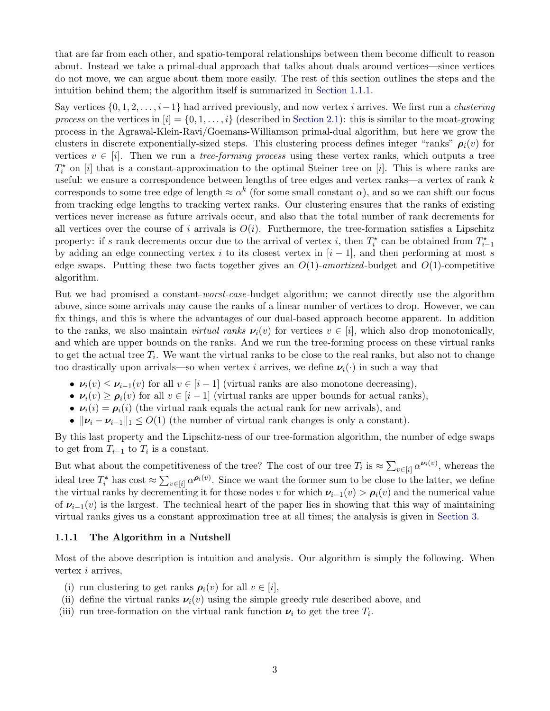that are far from each other, and spatio-temporal relationships between them become difficult to reason about. Instead we take a primal-dual approach that talks about duals around vertices—since vertices do not move, we can argue about them more easily. The rest of this section outlines the steps and the intuition behind them; the algorithm itself is summarized in [Section 1.1.1.](#page-2-0)

Say vertices  $\{0, 1, 2, \ldots, i-1\}$  had arrived previously, and now vertex i arrives. We first run a *clustering* process on the vertices in  $[i] = \{0, 1, \ldots, i\}$  (described in [Section 2.1\)](#page-4-0): this is similar to the moat-growing process in the Agrawal-Klein-Ravi/Goemans-Williamson primal-dual algorithm, but here we grow the clusters in discrete exponentially-sized steps. This clustering process defines integer "ranks"  $\rho_i(v)$  for vertices  $v \in [i]$ . Then we run a *tree-forming process* using these vertex ranks, which outputs a tree  $T_i^*$  on [i] that is a constant-approximation to the optimal Steiner tree on [i]. This is where ranks are useful: we ensure a correspondence between lengths of tree edges and vertex ranks—a vertex of rank  $k$ corresponds to some tree edge of length  $\approx \alpha^k$  (for some small constant  $\alpha$ ), and so we can shift our focus from tracking edge lengths to tracking vertex ranks. Our clustering ensures that the ranks of existing vertices never increase as future arrivals occur, and also that the total number of rank decrements for all vertices over the course of i arrivals is  $O(i)$ . Furthermore, the tree-formation satisfies a Lipschitz property: if s rank decrements occur due to the arrival of vertex i, then  $T_i^*$  can be obtained from  $T_{i-1}^*$ by adding an edge connecting vertex i to its closest vertex in  $[i - 1]$ , and then performing at most s edge swaps. Putting these two facts together gives an  $O(1)$ -amortized-budget and  $O(1)$ -competitive algorithm.

But we had promised a constant-*worst-case*-budget algorithm; we cannot directly use the algorithm above, since some arrivals may cause the ranks of a linear number of vertices to drop. However, we can fix things, and this is where the advantages of our dual-based approach become apparent. In addition to the ranks, we also maintain *virtual ranks*  $v_i(v)$  for vertices  $v \in [i]$ , which also drop monotonically, and which are upper bounds on the ranks. And we run the tree-forming process on these virtual ranks to get the actual tree  $T_i$ . We want the virtual ranks to be close to the real ranks, but also not to change too drastically upon arrivals—so when vertex i arrives, we define  $\nu_i(\cdot)$  in such a way that

- $\nu_i(v) \leq \nu_{i-1}(v)$  for all  $v \in [i-1]$  (virtual ranks are also monotone decreasing),
- $\nu_i(v) \ge \rho_i(v)$  for all  $v \in [i-1]$  (virtual ranks are upper bounds for actual ranks),
- $\nu_i(i) = \rho_i(i)$  (the virtual rank equals the actual rank for new arrivals), and
- $\|\nu_i \nu_{i-1}\|_1 \leq O(1)$  (the number of virtual rank changes is only a constant).

By this last property and the Lipschitz-ness of our tree-formation algorithm, the number of edge swaps to get from  $T_{i-1}$  to  $T_i$  is a constant.

But what about the competitiveness of the tree? The cost of our tree  $T_i$  is  $\approx \sum_{v \in [i]} \alpha^{\nu_i(v)}$ , whereas the ideal tree  $T_i^*$  has cost  $\approx \sum_{v \in [i]} \alpha^{\rho_i(v)}$ . Since we want the former sum to be close to the latter, we define the virtual ranks by decrementing it for those nodes v for which  $\nu_{i-1}(v) > \rho_i(v)$  and the numerical value of  $\nu_{i-1}(v)$  is the largest. The technical heart of the paper lies in showing that this way of maintaining virtual ranks gives us a constant approximation tree at all times; the analysis is given in [Section 3.](#page-9-0)

#### <span id="page-2-0"></span>1.1.1 The Algorithm in a Nutshell

Most of the above description is intuition and analysis. Our algorithm is simply the following. When vertex i arrives,

- (i) run clustering to get ranks  $\rho_i(v)$  for all  $v \in [i],$
- (ii) define the virtual ranks  $\nu_i(v)$  using the simple greedy rule described above, and
- (iii) run tree-formation on the virtual rank function  $\nu_i$  to get the tree  $T_i$ .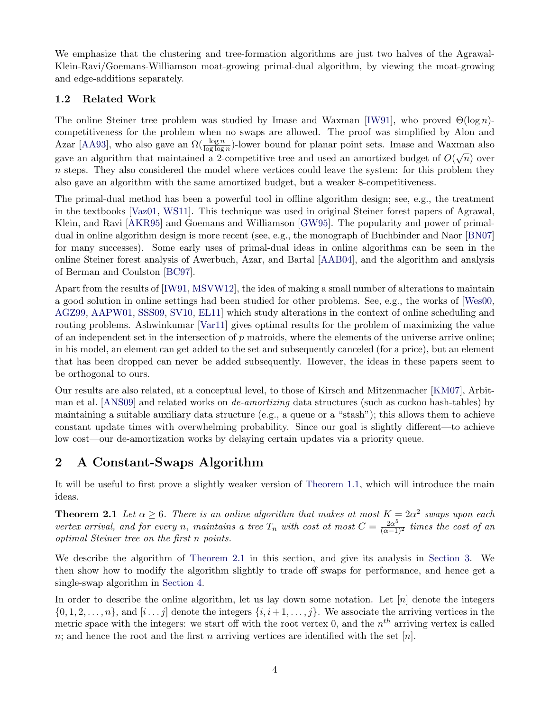We emphasize that the clustering and tree-formation algorithms are just two halves of the Agrawal-Klein-Ravi/Goemans-Williamson moat-growing primal-dual algorithm, by viewing the moat-growing and edge-additions separately.

# 1.2 Related Work

The online Steiner tree problem was studied by Imase and Waxman [\[IW91\]](#page-27-0), who proved  $\Theta(\log n)$ competitiveness for the problem when no swaps are allowed. The proof was simplified by Alon and Azar [\[AA93\]](#page-26-0), who also gave an  $\Omega(\frac{\log n}{\log \log n})$ -lower bound for planar point sets. Imase and Waxman also gave an algorithm that maintained a 2-competitive tree and used an amortized budget of  $O(\sqrt{n})$  over  $n$  steps. They also considered the model where vertices could leave the system: for this problem they also gave an algorithm with the same amortized budget, but a weaker 8-competitiveness.

The primal-dual method has been a powerful tool in offline algorithm design; see, e.g., the treatment in the textbooks [\[Vaz01,](#page-27-3) [WS11\]](#page-27-4). This technique was used in original Steiner forest papers of Agrawal, Klein, and Ravi [\[AKR95\]](#page-26-1) and Goemans and Williamson [\[GW95\]](#page-27-5). The popularity and power of primaldual in online algorithm design is more recent (see, e.g., the monograph of Buchbinder and Naor [\[BN07\]](#page-27-6) for many successes). Some early uses of primal-dual ideas in online algorithms can be seen in the online Steiner forest analysis of Awerbuch, Azar, and Bartal [\[AAB04\]](#page-26-2), and the algorithm and analysis of Berman and Coulston [\[BC97\]](#page-26-3).

Apart from the results of [\[IW91,](#page-27-0) [MSVW12\]](#page-27-1), the idea of making a small number of alterations to maintain a good solution in online settings had been studied for other problems. See, e.g., the works of [\[Wes00,](#page-27-7) [AGZ99,](#page-26-4) [AAPW01,](#page-26-5) [SSS09,](#page-27-8) [SV10,](#page-27-9) [EL11\]](#page-27-10) which study alterations in the context of online scheduling and routing problems. Ashwinkumar [\[Var11\]](#page-27-11) gives optimal results for the problem of maximizing the value of an independent set in the intersection of  $p$  matroids, where the elements of the universe arrive online; in his model, an element can get added to the set and subsequently canceled (for a price), but an element that has been dropped can never be added subsequently. However, the ideas in these papers seem to be orthogonal to ours.

Our results are also related, at a conceptual level, to those of Kirsch and Mitzenmacher [\[KM07\]](#page-27-12), Arbitman et al.  $[ANS09]$  and related works on *de-amortizing* data structures (such as cuckoo hash-tables) by maintaining a suitable auxiliary data structure (e.g., a queue or a "stash"); this allows them to achieve constant update times with overwhelming probability. Since our goal is slightly different—to achieve low cost—our de-amortization works by delaying certain updates via a priority queue.

# <span id="page-3-0"></span>2 A Constant-Swaps Algorithm

<span id="page-3-1"></span>It will be useful to first prove a slightly weaker version of [Theorem 1.1,](#page-1-1) which will introduce the main ideas.

**Theorem 2.1** Let  $\alpha \geq 6$ . There is an online algorithm that makes at most  $K = 2\alpha^2$  swaps upon each vertex arrival, and for every n, maintains a tree  $T_n$  with cost at most  $C = \frac{2\alpha^5}{(\alpha-1)^2}$  times the cost of an optimal Steiner tree on the first n points.

We describe the algorithm of [Theorem 2.1](#page-3-1) in this section, and give its analysis in [Section 3.](#page-9-0) We then show how to modify the algorithm slightly to trade off swaps for performance, and hence get a single-swap algorithm in [Section 4.](#page-17-0)

In order to describe the online algorithm, let us lay down some notation. Let  $[n]$  denote the integers  $\{0, 1, 2, \ldots, n\}$ , and  $[i \ldots j]$  denote the integers  $\{i, i+1, \ldots, j\}$ . We associate the arriving vertices in the metric space with the integers: we start off with the root vertex 0, and the  $n^{th}$  arriving vertex is called n; and hence the root and the first n arriving vertices are identified with the set  $[n]$ .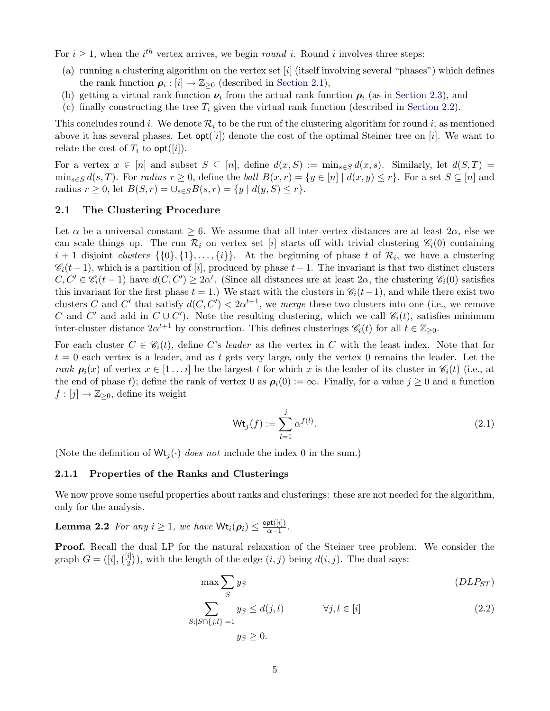For  $i \geq 1$ , when the i<sup>th</sup> vertex arrives, we begin *round i*. Round i involves three steps:

- (a) running a clustering algorithm on the vertex set  $[i]$  (itself involving several "phases") which defines the rank function  $\rho_i : [i] \to \mathbb{Z}_{\geq 0}$  (described in [Section 2.1\)](#page-4-0),
- (b) getting a virtual rank function  $\nu_i$  from the actual rank function  $\rho_i$  (as in [Section 2.3\)](#page-8-0), and
- (c) finally constructing the tree  $T_i$  given the virtual rank function (described in [Section 2.2\)](#page-6-0).

This concludes round i. We denote  $\mathcal{R}_i$  to be the run of the clustering algorithm for round i; as mentioned above it has several phases. Let  $opt([i])$  denote the cost of the optimal Steiner tree on [i]. We want to relate the cost of  $T_i$  to  $opt([i])$ .

For a vertex  $x \in [n]$  and subset  $S \subseteq [n]$ , define  $d(x, S) := \min_{s \in S} d(x, s)$ . Similarly, let  $d(S,T) =$  $\min_{s\in S} d(s,T)$ . For radius  $r \geq 0$ , define the ball  $B(x,r) = \{y \in [n] \mid d(x,y) \leq r\}$ . For a set  $S \subseteq [n]$  and radius  $r \ge 0$ , let  $B(S,r) = \bigcup_{s \in S} B(s,r) = \{y \mid d(y,S) \le r\}.$ 

## <span id="page-4-0"></span>2.1 The Clustering Procedure

Let  $\alpha$  be a universal constant  $\geq 6$ . We assume that all inter-vertex distances are at least  $2\alpha$ , else we can scale things up. The run  $\mathcal{R}_i$  on vertex set *i* starts off with trivial clustering  $\mathscr{C}_i(0)$  containing  $i+1$  disjoint *clusters*  $\{\{0\},\{1\},\ldots,\{i\}\}\$ . At the beginning of phase t of  $\mathcal{R}_i$ , we have a clustering  $\mathscr{C}_i(t-1)$ , which is a partition of [i], produced by phase  $t-1$ . The invariant is that two distinct clusters  $C, C' \in \mathscr{C}_i(t-1)$  have  $d(C, C') \geq 2\alpha^t$ . (Since all distances are at least  $2\alpha$ , the clustering  $\mathscr{C}_i(0)$  satisfies this invariant for the first phase  $t = 1$ .) We start with the clusters in  $\mathscr{C}_i(t-1)$ , and while there exist two clusters C and C' that satisfy  $d(C, C') < 2\alpha^{t+1}$ , we merge these two clusters into one (i.e., we remove C and C' and add in  $C \cup C'$ ). Note the resulting clustering, which we call  $\mathscr{C}_i(t)$ , satisfies minimum inter-cluster distance  $2\alpha^{t+1}$  by construction. This defines clusterings  $\mathscr{C}_i(t)$  for all  $t \in \mathbb{Z}_{\geq 0}$ .

For each cluster  $C \in \mathcal{C}_i(t)$ , define C's leader as the vertex in C with the least index. Note that for  $t = 0$  each vertex is a leader, and as t gets very large, only the vertex 0 remains the leader. Let the rank  $\rho_i(x)$  of vertex  $x \in [1 \dots i]$  be the largest t for which x is the leader of its cluster in  $\mathscr{C}_i(t)$  (i.e., at the end of phase t); define the rank of vertex 0 as  $\rho_i(0) := \infty$ . Finally, for a value  $j \ge 0$  and a function  $f : [j] \to \mathbb{Z}_{\geq 0}$ , define its weight

<span id="page-4-2"></span>
$$
\mathsf{Wt}_{j}(f) := \sum_{l=1}^{j} \alpha^{f(l)}.
$$
\n(2.1)

(Note the definition of  $Wt_i(\cdot)$  does not include the index 0 in the sum.)

#### 2.1.1 Properties of the Ranks and Clusterings

We now prove some useful properties about ranks and clusterings: these are not needed for the algorithm, only for the analysis.

<span id="page-4-3"></span>**Lemma 2.2** For any  $i \geq 1$ , we have  $\mathsf{Wt}_i(\rho_i) \leq \frac{\mathsf{opt}([i])}{\alpha-1}$  $rac{\text{pt}(\lfloor i\rfloor)}{\alpha-1}$ .

Proof. Recall the dual LP for the natural relaxation of the Steiner tree problem. We consider the graph  $G = ([i], ([i])$  $\binom{i}{2}$ , with the length of the edge  $(i, j)$  being  $d(i, j)$ . The dual says:

$$
\max \sum_{S} y_S \tag{DLP_{ST}}
$$

$$
\sum_{S:|S \cap \{j,l\}|=1} y_S \le d(j,l) \qquad \forall j,l \in [i]
$$
\n(2.2)

<span id="page-4-1"></span> $y_S \geq 0$ .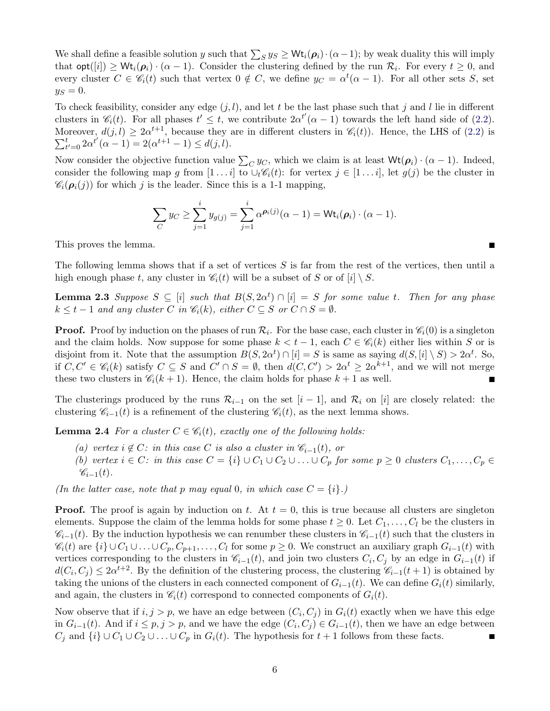We shall define a feasible solution y such that  $\sum_S y_S \ge \mathsf{Wt}_i(\rho_i) \cdot (\alpha - 1)$ ; by weak duality this will imply that  $\textsf{opt}([i]) \ge \textsf{Wt}_i(\rho_i) \cdot (\alpha - 1)$ . Consider the clustering defined by the run  $\mathcal{R}_i$ . For every  $t \ge 0$ , and every cluster  $C \in \mathscr{C}_i(t)$  such that vertex  $0 \notin C$ , we define  $y_C = \alpha^t(\alpha - 1)$ . For all other sets S, set  $y_S = 0.$ 

To check feasibility, consider any edge  $(j, l)$ , and let t be the last phase such that j and l lie in different clusters in  $\mathscr{C}_i(t)$ . For all phases  $t' \leq t$ , we contribute  $2\alpha^{t'}(\alpha-1)$  towards the left hand side of [\(2.2\)](#page-4-1). Moreover,  $d(j, l) \geq 2\alpha^{t+1}$ , because they are in different clusters in  $\mathscr{C}_i(t)$ ). Hence, the LHS of [\(2.2\)](#page-4-1) is  $\sum_{t}^{t}$  $t'_{t'=0} 2\alpha^{t'}(\alpha - 1) = 2(\alpha^{t+1} - 1) \leq d(j, l).$ 

Now consider the objective function value  $\sum_C y_C$ , which we claim is at least  $Wt(\rho_i) \cdot (\alpha - 1)$ . Indeed, consider the following map g from  $[1 \dots i]$  to  $\bigcup_i \mathcal{C}_i(t)$ : for vertex  $j \in [1 \dots i]$ , let  $g(j)$  be the cluster in  $\mathscr{C}_i(\rho_i(j))$  for which j is the leader. Since this is a 1-1 mapping,

$$
\sum_{C} y_C \ge \sum_{j=1}^{i} y_{g(j)} = \sum_{j=1}^{i} \alpha^{\rho_i(j)} (\alpha - 1) = \mathsf{Wt}_i(\rho_i) \cdot (\alpha - 1).
$$

This proves the lemma.

The following lemma shows that if a set of vertices  $S$  is far from the rest of the vertices, then until a high enough phase t, any cluster in  $\mathcal{C}_i(t)$  will be a subset of S or of  $[i] \setminus S$ .

<span id="page-5-1"></span> $\blacksquare$ 

**Lemma 2.3** Suppose  $S \subseteq [i]$  such that  $B(S, 2\alpha^t) \cap [i] = S$  for some value t. Then for any phase  $k \leq t-1$  and any cluster C in  $\mathcal{C}_i(k)$ , either  $C \subseteq S$  or  $C \cap S = \emptyset$ .

**Proof.** Proof by induction on the phases of run  $\mathcal{R}_i$ . For the base case, each cluster in  $\mathscr{C}_i(0)$  is a singleton and the claim holds. Now suppose for some phase  $k < t - 1$ , each  $C \in \mathcal{C}_i(k)$  either lies within S or is disjoint from it. Note that the assumption  $B(S, 2\alpha^t) \cap [i] = S$  is same as saying  $d(S, [i] \setminus S) > 2\alpha^t$ . So, if  $C, C' \in \mathscr{C}_i(k)$  satisfy  $C \subseteq S$  and  $C' \cap S = \emptyset$ , then  $d(C, C') > 2\alpha^t \geq 2\alpha^{k+1}$ , and we will not merge these two clusters in  $\mathcal{C}_i(k+1)$ . Hence, the claim holds for phase  $k+1$  as well.  $\blacksquare$ 

The clusterings produced by the runs  $\mathcal{R}_{i-1}$  on the set  $[i-1]$ , and  $\mathcal{R}_i$  on  $[i]$  are closely related: the clustering  $\mathscr{C}_{i-1}(t)$  is a refinement of the clustering  $\mathscr{C}_i(t)$ , as the next lemma shows.

<span id="page-5-0"></span>**Lemma 2.4** For a cluster  $C \in \mathcal{C}_i(t)$ , exactly one of the following holds:

- (a) vertex  $i \notin C$ : in this case C is also a cluster in  $\mathscr{C}_{i-1}(t)$ , or
- (b) vertex  $i \in C$ : in this case  $C = \{i\} \cup C_1 \cup C_2 \cup \ldots \cup C_p$  for some  $p \ge 0$  clusters  $C_1, \ldots, C_p \in C$  $\mathscr{C}_{i-1}(t)$ .

(In the latter case, note that p may equal 0, in which case  $C = \{i\}$ .)

**Proof.** The proof is again by induction on t. At  $t = 0$ , this is true because all clusters are singleton elements. Suppose the claim of the lemma holds for some phase  $t \geq 0$ . Let  $C_1, \ldots, C_l$  be the clusters in  $\mathscr{C}_{i-1}(t)$ . By the induction hypothesis we can renumber these clusters in  $\mathscr{C}_{i-1}(t)$  such that the clusters in  $\mathscr{C}_i(t)$  are  $\{i\} \cup C_1 \cup \ldots \cup C_p, C_{p+1}, \ldots, C_l$  for some  $p \geq 0$ . We construct an auxiliary graph  $G_{i-1}(t)$  with vertices corresponding to the clusters in  $\mathscr{C}_{i-1}(t)$ , and join two clusters  $C_i, C_j$  by an edge in  $G_{i-1}(t)$  if  $d(C_i, C_j) \leq 2\alpha^{t+2}$ . By the definition of the clustering process, the clustering  $\mathscr{C}_{i-1}(t+1)$  is obtained by taking the unions of the clusters in each connected component of  $G_{i-1}(t)$ . We can define  $G_i(t)$  similarly, and again, the clusters in  $\mathcal{C}_i(t)$  correspond to connected components of  $G_i(t)$ .

Now observe that if  $i, j > p$ , we have an edge between  $(C_i, C_j)$  in  $G_i(t)$  exactly when we have this edge in  $G_{i-1}(t)$ . And if  $i \leq p, j > p$ , and we have the edge  $(C_i, C_j) \in G_{i-1}(t)$ , then we have an edge between  $C_j$  and  $\{i\} \cup C_1 \cup C_2 \cup \ldots \cup C_p$  in  $G_i(t)$ . The hypothesis for  $t+1$  follows from these facts.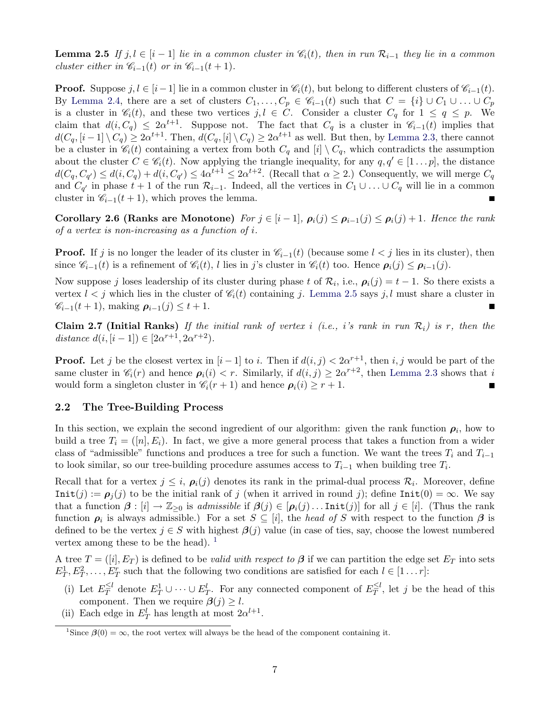<span id="page-6-1"></span>**Lemma 2.5** If j, l ∈ [i − 1] lie in a common cluster in  $\mathcal{C}_i(t)$ , then in run  $\mathcal{R}_{i-1}$  they lie in a common cluster either in  $\mathcal{C}_{i-1}(t)$  or in  $\mathcal{C}_{i-1}(t+1)$ .

**Proof.** Suppose  $j, l \in [i-1]$  lie in a common cluster in  $\mathscr{C}_i(t)$ , but belong to different clusters of  $\mathscr{C}_{i-1}(t)$ . By [Lemma 2.4,](#page-5-0) there are a set of clusters  $C_1, \ldots, C_p \in \mathscr{C}_{i-1}(t)$  such that  $C = \{i\} \cup C_1 \cup \ldots \cup C_p$ is a cluster in  $\mathscr{C}_i(t)$ , and these two vertices  $j, l \in C$ . Consider a cluster  $C_q$  for  $1 \leq q \leq p$ . We claim that  $d(i, C_q) \leq 2\alpha^{t+1}$ . Suppose not. The fact that  $C_q$  is a cluster in  $\mathscr{C}_{i-1}(t)$  implies that  $d(C_q, [i-1] \setminus C_q) \geq 2\alpha^{t+1}$ . Then,  $d(C_q, [i] \setminus C_q) \geq 2\alpha^{t+1}$  as well. But then, by [Lemma 2.3,](#page-5-1) there cannot be a cluster in  $\mathscr{C}_i(t)$  containing a vertex from both  $C_q$  and  $[i] \setminus C_q$ , which contradicts the assumption about the cluster  $C \in \mathcal{C}_i(t)$ . Now applying the triangle inequality, for any  $q, q' \in [1 \dots p]$ , the distance  $d(C_q, C_{q'}) \leq d(i, C_q) + d(i, C_{q'}) \leq 4\alpha^{t+1} \leq 2\alpha^{t+2}$ . (Recall that  $\alpha \geq 2$ .) Consequently, we will merge  $C_q$ and  $C_{q'}$  in phase  $t + 1$  of the run  $\mathcal{R}_{i-1}$ . Indeed, all the vertices in  $C_1 \cup \ldots \cup C_q$  will lie in a common cluster in  $\mathcal{C}_{i-1}(t+1)$ , which proves the lemma.

Corollary 2.6 (Ranks are Monotone) For  $j \in [i-1]$ ,  $\rho_i(j) \leq \rho_{i-1}(j) \leq \rho_i(j) + 1$ . Hence the rank of a vertex is non-increasing as a function of  $i$ .

**Proof.** If j is no longer the leader of its cluster in  $\mathcal{C}_{i-1}(t)$  (because some  $l < j$  lies in its cluster), then since  $\mathscr{C}_{i-1}(t)$  is a refinement of  $\mathscr{C}_i(t)$ , l lies in j's cluster in  $\mathscr{C}_i(t)$  too. Hence  $\rho_i(j) \leq \rho_{i-1}(j)$ .

Now suppose j loses leadership of its cluster during phase t of  $\mathcal{R}_i$ , i.e.,  $\rho_i(j) = t - 1$ . So there exists a vertex  $l < j$  which lies in the cluster of  $\mathcal{C}_i(t)$  containing j. [Lemma 2.5](#page-6-1) says j, l must share a cluster in  $\mathscr{C}_{i-1}(t+1)$ , making  $\rho_{i-1}(j) \leq t+1$ .

<span id="page-6-3"></span>Claim 2.7 (Initial Ranks) If the initial rank of vertex i (i.e., i's rank in run  $\mathcal{R}_i$ ) is r, then the distance  $d(i, [i-1]) \in [2\alpha^{r+1}, 2\alpha^{r+2}).$ 

**Proof.** Let j be the closest vertex in  $[i-1]$  to i. Then if  $d(i, j) < 2\alpha^{r+1}$ , then i, j would be part of the same cluster in  $\mathscr{C}_i(r)$  and hence  $\rho_i(i) < r$ . Similarly, if  $d(i, j) \geq 2\alpha^{r+2}$ , then [Lemma 2.3](#page-5-1) shows that i would form a singleton cluster in  $\mathcal{C}_i(r+1)$  and hence  $\rho_i(i) \geq r+1$ .

### <span id="page-6-0"></span>2.2 The Tree-Building Process

In this section, we explain the second ingredient of our algorithm: given the rank function  $\rho_i$ , how to build a tree  $T_i = ([n], E_i)$ . In fact, we give a more general process that takes a function from a wider class of "admissible" functions and produces a tree for such a function. We want the trees  $T_i$  and  $T_{i-1}$ to look similar, so our tree-building procedure assumes access to  $T_{i-1}$  when building tree  $T_i$ .

Recall that for a vertex  $j \leq i$ ,  $\rho_i(j)$  denotes its rank in the primal-dual process  $\mathcal{R}_i$ . Moreover, define  $Init(j) := \rho_i(j)$  to be the initial rank of j (when it arrived in round j); define  $Init(0) = \infty$ . We say that a function  $\beta : [i] \to \mathbb{Z}_{\geq 0}$  is admissible if  $\beta(j) \in [\rho_i(j) \dots \text{Init}(j)]$  for all  $j \in [i]$ . (Thus the rank function  $\rho_i$  is always admissible.) For a set  $S \subseteq [i]$ , the head of S with respect to the function  $\beta$  is defined to be the vertex  $j \in S$  with highest  $\beta(j)$  value (in case of ties, say, choose the lowest numbered vertex among these to be the head).  $<sup>1</sup>$  $<sup>1</sup>$  $<sup>1</sup>$ </sup>

A tree  $T = ([i], E_T)$  is defined to be valid with respect to  $\beta$  if we can partition the edge set  $E_T$  into sets  $E_T^1, E_T^2, \ldots, E_T^r$  such that the following two conditions are satisfied for each  $l \in [1 \ldots r]$ :

- (i) Let  $E_T^{\leq l}$  $\overline{F}_T^l$  denote  $E_T^1 \cup \cdots \cup E_T^l$ . For any connected component of  $E_T^{\leq l}$  $\sum_{i=1}^{n}$ , let j be the head of this component. Then we require  $\beta(j) \geq l$ .
- <span id="page-6-4"></span>(ii) Each edge in  $E_T^l$  has length at most  $2\alpha^{l+1}$ .

<span id="page-6-2"></span><sup>&</sup>lt;sup>1</sup>Since  $\beta(0) = \infty$ , the root vertex will always be the head of the component containing it.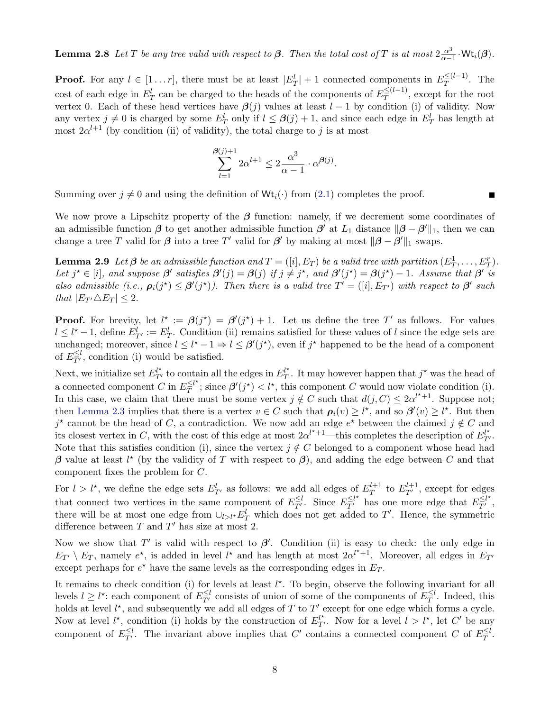**Lemma 2.8** Let T be any tree valid with respect to  $\beta$ . Then the total cost of T is at most  $2\frac{\alpha^3}{\alpha-1}$  $\frac{\alpha^3}{\alpha-1} \cdot \mathsf{Wt}_i(\boldsymbol{\beta}).$ 

**Proof.** For any  $l \in [1...r]$ , there must be at least  $|E_T^l| + 1$  connected components in  $E_T^{\leq (l-1)}$  $T^{(-1)}$ . The cost of each edge in  $E_T^l$  can be charged to the heads of the components of  $E_T^{\leq (l-1)}$  $\sum_{T}^{(\ell-1)}$ , except for the root vertex 0. Each of these head vertices have  $\beta(j)$  values at least  $l-1$  by condition (i) of validity. Now any vertex  $j \neq 0$  is charged by some  $E_T^l$  only if  $l \leq \beta(j) + 1$ , and since each edge in  $E_T^l$  has length at most  $2\alpha^{l+1}$  (by condition (ii) of validity), the total charge to j is at most

<span id="page-7-0"></span>
$$
\sum_{l=1}^{\beta(j)+1} 2\alpha^{l+1} \le 2\frac{\alpha^3}{\alpha-1} \cdot \alpha^{\beta(j)}.
$$

Summing over  $j \neq 0$  and using the definition of  $W_t(i)$  from [\(2.1\)](#page-4-2) completes the proof.

We now prove a Lipschitz property of the  $\beta$  function: namely, if we decrement some coordinates of an admissible function  $\beta$  to get another admissible function  $\beta'$  at  $L_1$  distance  $\|\beta - \beta'\|_1$ , then we can change a tree T valid for  $\beta$  into a tree T' valid for  $\beta'$  by making at most  $\|\beta - \beta'\|_1$  swaps.

**Lemma 2.9** Let  $\beta$  be an admissible function and  $T = ([i], E_T)$  be a valid tree with partition  $(E_T^1, \ldots, E_T^r)$ . Let  $j^* \in [i]$ , and suppose  $\beta'$  satisfies  $\beta'(j) = \beta(j)$  if  $j \neq j^*$ , and  $\beta'(j^*) = \beta(j^*) - 1$ . Assume that  $\beta'$  is also admissible (i.e.,  $\rho_i(j^*) \leq \beta'(j^*)$ ). Then there is a valid tree  $T' = ([i], E_{T'})$  with respect to  $\beta'$  such that  $|E_{T'} \triangle E_T| \leq 2$ .

**Proof.** For brevity, let  $l^* := \beta(j^*) = \beta'(j^*) + 1$ . Let us define the tree T' as follows. For values  $l \leq l^* - 1$ , define  $E_{T'}^l := E_T^l$ . Condition (ii) remains satisfied for these values of l since the edge sets are unchanged; moreover, since  $l \leq l^* - 1 \Rightarrow l \leq \beta'(j^*)$ , even if  $j^*$  happened to be the head of a component of  $E_{T'}^{\leq l}$ , condition (i) would be satisfied.

Next, we initialize set  $E^{l^*}_{T'}$  to contain all the edges in  $E^{l^*}_T$  $y^{\dagger}$ . It may however happen that  $j^*$  was the head of a connected component C in  $E^{\leq l^*}_{\overline{T}}$  $\frac{\leq l^*}{T}$ ; since  $\beta'(j^*) < l^*$ , this component C would now violate condition (i). In this case, we claim that there must be some vertex  $j \notin C$  such that  $d(j, C) \leq 2\alpha^{l^*+1}$ . Suppose not; then [Lemma 2.3](#page-5-1) implies that there is a vertex  $v \in C$  such that  $\rho_i(v) \geq l^*$ , and so  $\beta'(v) \geq l^*$ . But then j<sup>\*</sup> cannot be the head of C, a contradiction. We now add an edge  $e^*$  between the claimed  $j \notin C$  and its closest vertex in C, with the cost of this edge at most  $2\alpha^{l^*+1}$ —this completes the description of  $E_T^{l^*}$ . Note that this satisfies condition (i), since the vertex  $j \notin C$  belonged to a component whose head had β value at least l<sup>\*</sup> (by the validity of T with respect to β), and adding the edge between C and that component fixes the problem for C.

For  $l > l^*$ , we define the edge sets  $E_{T'}^l$  as follows: we add all edges of  $E_T^{l+1}$  $E_T^{l+1}$  to  $E_{T'}^{l+1}$ , except for edges that connect two vertices in the same component of  $E_{\overline{T'}}^{\leq l}$ . Since  $E_{\overline{T'}}^{\leq l^*}$  has one more edge that  $E_{\overline{T'}}^{\leq l^*}$ , there will be at most one edge from  $\cup_{l>l^*} E_T^l$  which does not get added to T'. Hence, the symmetric difference between  $T$  and  $T'$  has size at most 2.

Now we show that T' is valid with respect to  $\beta'$ . Condition (ii) is easy to check: the only edge in  $E_{T'} \setminus E_T$ , namely  $e^*$ , is added in level  $l^*$  and has length at most  $2\alpha^{l^*+1}$ . Moreover, all edges in  $E_{T'}$ except perhaps for  $e^*$  have the same levels as the corresponding edges in  $E_T$ .

It remains to check condition (i) for levels at least  $l^*$ . To begin, observe the following invariant for all levels  $l \geq l^*$ : each component of  $E_{T'}^{\leq l}$  consists of union of some of the components of  $E_T^{\leq l}$  $\tilde{\overline{T}}^t$ . Indeed, this holds at level  $l^*$ , and subsequently we add all edges of T to T' except for one edge which forms a cycle. Now at level  $l^*$ , condition (i) holds by the construction of  $E_{T'}^{l^*}$ . Now for a level  $l > l^*$ , let C' be any component of  $E^{\leq l}_{T'}$ . The invariant above implies that C' contains a connected component C of  $E^{\leq l}_{T}$  $\frac{\leq l}{T}$ .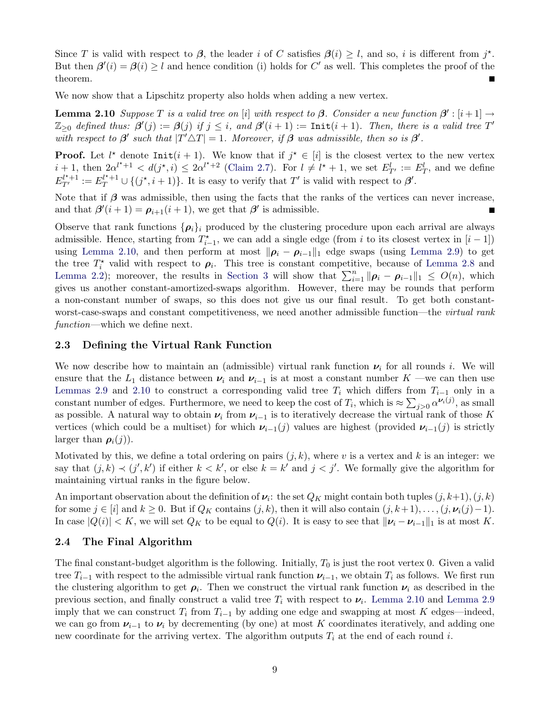Since T is valid with respect to  $\beta$ , the leader i of C satisfies  $\beta(i) \geq l$ , and so, i is different from  $j^*$ . But then  $\beta'(i) = \beta(i) \geq l$  and hence condition (i) holds for C' as well. This completes the proof of the theorem.

<span id="page-8-1"></span>We now show that a Lipschitz property also holds when adding a new vertex.

**Lemma 2.10** Suppose T is a valid tree on [i] with respect to  $\beta$ . Consider a new function  $\beta': [i+1] \rightarrow$  $\mathbb{Z}_{\geq 0}$  defined thus:  $\beta'(j) := \beta(j)$  if  $j \leq i$ , and  $\beta'(i+1) := \text{Init}(i+1)$ . Then, there is a valid tree T' with respect to  $\beta'$  such that  $|T' \triangle T| = 1$ . Moreover, if  $\beta$  was admissible, then so is  $\beta'$ .

**Proof.** Let  $l^*$  denote  $Init(i + 1)$ . We know that if  $j^* \in [i]$  is the closest vertex to the new vertex  $i+1$ , then  $2\alpha^{l^*+1} < d(j^*, i) \leq 2\alpha^{l^*+2}$  [\(Claim 2.7\)](#page-6-3). For  $l \neq l^*+1$ , we set  $E_{T'}^l := E_T^l$ , and we define  $E_{T'}^{l^*+1} := E_T^{l^*+1} \cup \{(j^*, i+1)\}\.$  It is easy to verify that T' is valid with respect to  $\beta'$ .

Note that if  $\beta$  was admissible, then using the facts that the ranks of the vertices can never increase, and that  $\beta'(i+1) = \rho_{i+1}(i+1)$ , we get that  $\beta'$  is admissible.  $\blacksquare$ 

Observe that rank functions  $\{\rho_i\}_i$  produced by the clustering procedure upon each arrival are always admissible. Hence, starting from  $T_{i-1}^*$ , we can add a single edge (from i to its closest vertex in  $[i-1]$ ) using [Lemma 2.10,](#page-8-1) and then perform at most  $\|\rho_i - \rho_{i-1}\|_1$  edge swaps (using [Lemma 2.9\)](#page-7-0) to get the tree  $T_i^*$  valid with respect to  $\rho_i$ . This tree is constant competitive, because of [Lemma 2.8](#page-6-4) and [Lemma 2.2\)](#page-4-3); moreover, the results in [Section 3](#page-9-0) will show that  $\sum_{i=1}^{n} ||\rho_i - \rho_{i-1}||_1 \leq O(n)$ , which gives us another constant-amortized-swaps algorithm. However, there may be rounds that perform a non-constant number of swaps, so this does not give us our final result. To get both constantworst-case-swaps and constant competitiveness, we need another admissible function—the *virtual rank* function—which we define next.

## <span id="page-8-0"></span>2.3 Defining the Virtual Rank Function

We now describe how to maintain an (admissible) virtual rank function  $\nu_i$  for all rounds i. We will ensure that the  $L_1$  distance between  $\nu_i$  and  $\nu_{i-1}$  is at most a constant number K —we can then use [Lemmas 2.9](#page-7-0) and [2.10](#page-8-1) to construct a corresponding valid tree  $T_i$  which differs from  $T_{i-1}$  only in a constant number of edges. Furthermore, we need to keep the cost of  $T_i$ , which is  $\approx \sum_{j>0} \alpha^{\nu_i(j)}$ , as small as possible. A natural way to obtain  $\nu_i$  from  $\nu_{i-1}$  is to iteratively decrease the virtual rank of those K vertices (which could be a multiset) for which  $\nu_{i-1}(j)$  values are highest (provided  $\nu_{i-1}(j)$  is strictly larger than  $\rho_i(j)$ ).

Motivated by this, we define a total ordering on pairs  $(j, k)$ , where v is a vertex and k is an integer: we say that  $(j, k) \prec (j', k')$  if either  $k < k'$ , or else  $k = k'$  and  $j < j'$ . We formally give the algorithm for maintaining virtual ranks in the figure below.

An important observation about the definition of  $\nu_i$ : the set  $Q_K$  might contain both tuples  $(j, k+1), (j, k)$ for some  $j \in [i]$  and  $k \geq 0$ . But if  $Q_K$  contains  $(j, k)$ , then it will also contain  $(j, k+1)$ , ..., $(j, \nu_i(j)-1)$ . In case  $|Q(i)| < K$ , we will set  $Q_K$  to be equal to  $Q(i)$ . It is easy to see that  $||\mathbf{v}_i - \mathbf{v}_{i-1}||_1$  is at most K.

#### 2.4 The Final Algorithm

The final constant-budget algorithm is the following. Initially,  $T_0$  is just the root vertex 0. Given a valid tree  $T_{i-1}$  with respect to the admissible virtual rank function  $\nu_{i-1}$ , we obtain  $T_i$  as follows. We first run the clustering algorithm to get  $\rho_i$ . Then we construct the virtual rank function  $\nu_i$  as described in the previous section, and finally construct a valid tree  $T_i$  with respect to  $\nu_i$ . [Lemma 2.10](#page-8-1) and [Lemma 2.9](#page-7-0) imply that we can construct  $T_i$  from  $T_{i-1}$  by adding one edge and swapping at most K edges—indeed, we can go from  $\nu_{i-1}$  to  $\nu_i$  by decrementing (by one) at most K coordinates iteratively, and adding one new coordinate for the arriving vertex. The algorithm outputs  $T_i$  at the end of each round i.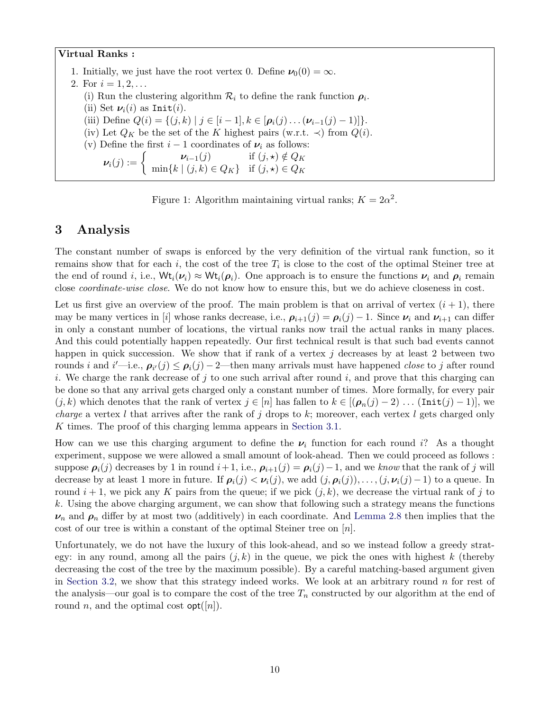#### Virtual Ranks :

- 1. Initially, we just have the root vertex 0. Define  $\nu_0(0) = \infty$ .
- 2. For  $i = 1, 2, \ldots$ 
	- (i) Run the clustering algorithm  $\mathcal{R}_i$  to define the rank function  $\rho_i$ .
	- (ii) Set  $\nu_i(i)$  as Init(*i*).
	- (iii) Define  $Q(i) = \{(j,k) | j \in [i-1], k \in [\rho_i(j)...(\nu_{i-1}(j)-1)]\}.$
	- (iv) Let  $Q_K$  be the set of the K highest pairs (w.r.t.  $\prec$ ) from  $Q(i)$ .
	- (v) Define the first  $i 1$  coordinates of  $\nu_i$  as follows:

 $\nu_i(j) := \begin{cases} \nu_{i-1}(j) & \text{if } (j, \star) \notin Q_K \\ \min\{k \mid (j, k) \in Q_{\text{rel}}\} & \text{if } (j, \star) \in Q_{\text{rel}} \end{cases}$  $\min\{k \mid (j,k) \in Q_K\}$  if  $(j, \star) \in Q_K$ 



# <span id="page-9-0"></span>3 Analysis

The constant number of swaps is enforced by the very definition of the virtual rank function, so it remains show that for each i, the cost of the tree  $T_i$  is close to the cost of the optimal Steiner tree at the end of round i, i.e.,  $\mathsf{Wt}_i(\nu_i) \approx \mathsf{Wt}_i(\rho_i)$ . One approach is to ensure the functions  $\nu_i$  and  $\rho_i$  remain close coordinate-wise close. We do not know how to ensure this, but we do achieve closeness in cost.

Let us first give an overview of the proof. The main problem is that on arrival of vertex  $(i + 1)$ , there may be many vertices in [i] whose ranks decrease, i.e.,  $\rho_{i+1}(j) = \rho_i(j) - 1$ . Since  $\nu_i$  and  $\nu_{i+1}$  can differ in only a constant number of locations, the virtual ranks now trail the actual ranks in many places. And this could potentially happen repeatedly. Our first technical result is that such bad events cannot happen in quick succession. We show that if rank of a vertex  $j$  decreases by at least 2 between two rounds i and i'—i.e.,  $\rho_{i'}(j) \leq \rho_i(j) - 2$ —then many arrivals must have happened *close* to j after round i. We charge the rank decrease of j to one such arrival after round i, and prove that this charging can be done so that any arrival gets charged only a constant number of times. More formally, for every pair  $(j, k)$  which denotes that the rank of vertex  $j \in [n]$  has fallen to  $k \in [(\rho_n(j) - 2) \dots (\text{Init}(j) - 1)]$ , we *charge* a vertex l that arrives after the rank of j drops to k; moreover, each vertex l gets charged only K times. The proof of this charging lemma appears in [Section 3.1.](#page-10-0)

How can we use this charging argument to define the  $\nu_i$  function for each round i? As a thought experiment, suppose we were allowed a small amount of look-ahead. Then we could proceed as follows : suppose  $\rho_i(j)$  decreases by 1 in round  $i+1$ , i.e.,  $\rho_{i+1}(j) = \rho_i(j) - 1$ , and we know that the rank of j will decrease by at least 1 more in future. If  $\rho_i(j) < \nu_i(j)$ , we add  $(j, \rho_i(j))$ , ..., $(j, \nu_i(j)-1)$  to a queue. In round  $i+1$ , we pick any K pairs from the queue; if we pick  $(j, k)$ , we decrease the virtual rank of j to k. Using the above charging argument, we can show that following such a strategy means the functions  $\nu_n$  and  $\rho_n$  differ by at most two (additively) in each coordinate. And [Lemma 2.8](#page-6-4) then implies that the cost of our tree is within a constant of the optimal Steiner tree on  $[n]$ .

Unfortunately, we do not have the luxury of this look-ahead, and so we instead follow a greedy strategy: in any round, among all the pairs  $(j, k)$  in the queue, we pick the ones with highest k (thereby decreasing the cost of the tree by the maximum possible). By a careful matching-based argument given in [Section 3.2,](#page-14-0) we show that this strategy indeed works. We look at an arbitrary round  $n$  for rest of the analysis—our goal is to compare the cost of the tree  $T_n$  constructed by our algorithm at the end of round n, and the optimal cost  $opt([n])$ .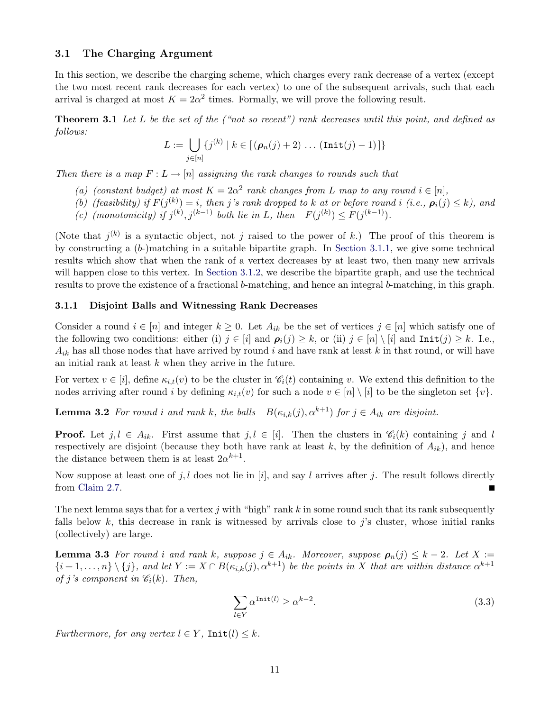## <span id="page-10-0"></span>3.1 The Charging Argument

In this section, we describe the charging scheme, which charges every rank decrease of a vertex (except the two most recent rank decreases for each vertex) to one of the subsequent arrivals, such that each arrival is charged at most  $K = 2\alpha^2$  times. Formally, we will prove the following result.

<span id="page-10-5"></span>**Theorem 3.1** Let L be the set of the ("not so recent") rank decreases until this point, and defined as follows:

$$
L := \bigcup_{j \in [n]} \{j^{(k)} \mid k \in [(\boldsymbol{\rho}_n(j)+2) \dots (\texttt{Init}(j)-1)]\}
$$

Then there is a map  $F: L \to [n]$  assigning the rank changes to rounds such that

- (a) (constant budget) at most  $K = 2\alpha^2$  rank changes from L map to any round  $i \in [n]$ ,
- (b) (feasibility) if  $F(j^{(k)}) = i$ , then j's rank dropped to k at or before round i (i.e.,  $\rho_i(j) \leq k$ ), and
- (c) (monotonicity) if  $j^{(k)}$ ,  $j^{(k-1)}$  both lie in L, then  $F(j^{(k)}) \leq F(j^{(k-1)})$ .

(Note that  $j^{(k)}$  is a syntactic object, not j raised to the power of k.) The proof of this theorem is by constructing a  $(b)$ -)matching in a suitable bipartite graph. In [Section 3.1.1,](#page-10-1) we give some technical results which show that when the rank of a vertex decreases by at least two, then many new arrivals will happen close to this vertex. In [Section 3.1.2,](#page-12-0) we describe the bipartite graph, and use the technical results to prove the existence of a fractional b-matching, and hence an integral b-matching, in this graph.

## <span id="page-10-1"></span>3.1.1 Disjoint Balls and Witnessing Rank Decreases

Consider a round  $i \in [n]$  and integer  $k \geq 0$ . Let  $A_{ik}$  be the set of vertices  $j \in [n]$  which satisfy one of the following two conditions: either (i)  $j \in [i]$  and  $\rho_i(j) \geq k$ , or (ii)  $j \in [n] \setminus [i]$  and  $\text{Init}(j) \geq k$ . I.e.,  $A_{ik}$  has all those nodes that have arrived by round i and have rank at least k in that round, or will have an initial rank at least  $k$  when they arrive in the future.

For vertex  $v \in [i]$ , define  $\kappa_{i,t}(v)$  to be the cluster in  $\mathscr{C}_i(t)$  containing v. We extend this definition to the nodes arriving after round i by defining  $\kappa_{i,t}(v)$  for such a node  $v \in [n] \setminus [i]$  to be the singleton set  $\{v\}$ .

<span id="page-10-4"></span>**Lemma 3.2** For round i and rank k, the balls  $B(\kappa_{i,k}(j), \alpha^{k+1})$  for  $j \in A_{ik}$  are disjoint.

**Proof.** Let  $j, l \in A_{ik}$ . First assume that  $j, l \in [i]$ . Then the clusters in  $\mathcal{C}_i(k)$  containing j and l respectively are disjoint (because they both have rank at least k, by the definition of  $A_{ik}$ ), and hence the distance between them is at least  $2\alpha^{k+1}$ .

Now suppose at least one of j, l does not lie in [i], and say l arrives after j. The result follows directly from [Claim 2.7.](#page-6-3)

The next lemma says that for a vertex  $j$  with "high" rank  $k$  in some round such that its rank subsequently falls below  $k$ , this decrease in rank is witnessed by arrivals close to j's cluster, whose initial ranks (collectively) are large.

**Lemma 3.3** For round i and rank k, suppose  $j \in A_{ik}$ . Moreover, suppose  $\rho_n(j) \leq k-2$ . Let  $X :=$  $\{i+1,\ldots,n\}\setminus\{j\}$ , and let  $Y:=X\cap B(\kappa_{i,k}(j),\alpha^{k+1})$  be the points in X that are within distance  $\alpha^{k+1}$ of j's component in  $\mathscr{C}_i(k)$ . Then,

<span id="page-10-3"></span><span id="page-10-2"></span>
$$
\sum_{l \in Y} \alpha^{\text{Init}(l)} \ge \alpha^{k-2}.
$$
\n(3.3)

Furthermore, for any vertex  $l \in Y$ ,  $Init(l) \leq k$ .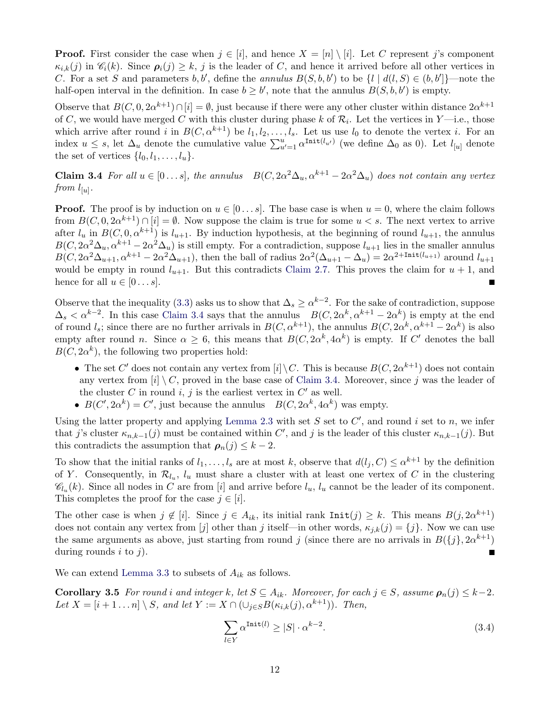**Proof.** First consider the case when  $j \in [i]$ , and hence  $X = [n] \setminus [i]$ . Let C represent j's component  $\kappa_{i,k}(j)$  in  $\mathscr{C}_i(k)$ . Since  $\rho_i(j) \geq k, j$  is the leader of C, and hence it arrived before all other vertices in C. For a set S and parameters b, b', define the annulus  $B(S, b, b')$  to be  $\{l \mid d(l, S) \in (b, b')\}$ —note the half-open interval in the definition. In case  $b \ge b'$ , note that the annulus  $B(S, b, b')$  is empty.

Observe that  $B(C, 0, 2\alpha^{k+1}) \cap [i] = \emptyset$ , just because if there were any other cluster within distance  $2\alpha^{k+1}$ of C, we would have merged C with this cluster during phase k of  $\mathcal{R}_i$ . Let the vertices in Y—i.e., those which arrive after round i in  $B(C, \alpha^{k+1})$  be  $l_1, l_2, \ldots, l_s$ . Let us use  $l_0$  to denote the vertex i. For an index  $u \leq s$ , let  $\Delta_u$  denote the cumulative value  $\sum_{u'=1}^{u} \alpha^{\text{Init}(l_{u'})}$  (we define  $\Delta_0$  as 0). Let  $l_{[u]}$  denote the set of vertices  $\{l_0, l_1, \ldots, l_u\}.$ 

<span id="page-11-0"></span>**Claim 3.4** For all  $u \in [0...s]$ , the annulus  $B(C, 2\alpha^2 \Delta_u, \alpha^{k+1} - 2\alpha^2 \Delta_u)$  does not contain any vertex from  $l_{[u]}$ .

**Proof.** The proof is by induction on  $u \in [0...s]$ . The base case is when  $u = 0$ , where the claim follows from  $B(C, 0, 2\alpha^{k+1}) \cap [i] = \emptyset$ . Now suppose the claim is true for some  $u < s$ . The next vertex to arrive after  $l_u$  in  $B(C, 0, \alpha^{k+1})$  is  $l_{u+1}$ . By induction hypothesis, at the beginning of round  $l_{u+1}$ , the annulus  $B(C, 2\alpha^2 \Delta_u, \alpha^{k+1} - 2\alpha^2 \Delta_u)$  is still empty. For a contradiction, suppose  $l_{u+1}$  lies in the smaller annulus  $B(C, 2\alpha^2\Delta_{u+1}, \alpha^{k+1} - 2\alpha^2\Delta_{u+1}),$  then the ball of radius  $2\alpha^2(\Delta_{u+1} - \Delta_u) = 2\alpha^{2+\text{Init}(l_{u+1})}$  around  $l_{u+1}$ would be empty in round  $l_{u+1}$ . But this contradicts [Claim 2.7.](#page-6-3) This proves the claim for  $u + 1$ , and hence for all  $u \in [0...s]$ .  $\blacksquare$ 

Observe that the inequality [\(3.3\)](#page-10-2) asks us to show that  $\Delta_s \ge \alpha^{k-2}$ . For the sake of contradiction, suppose  $\Delta_s \leq \alpha^{k-2}$ . In this case [Claim 3.4](#page-11-0) says that the annulus  $B(C, 2\alpha^k, \alpha^{k+1} - 2\alpha^k)$  is empty at the end of round  $l_s$ ; since there are no further arrivals in  $B(C, \alpha^{k+1})$ , the annulus  $B(C, 2\alpha^k, \alpha^{k+1} - 2\alpha^k)$  is also empty after round n. Since  $\alpha \geq 6$ , this means that  $B(C, 2\alpha^k, 4\alpha^k)$  is empty. If C' denotes the ball  $B(C, 2\alpha^k)$ , the following two properties hold:

- The set C' does not contain any vertex from  $[i] \setminus C$ . This is because  $B(C, 2\alpha^{k+1})$  does not contain any vertex from  $[i] \setminus C$ , proved in the base case of [Claim 3.4.](#page-11-0) Moreover, since j was the leader of the cluster C in round i, j is the earliest vertex in  $C'$  as well.
- $B(C', 2\alpha^k) = C'$ , just because the annulus  $B(C, 2\alpha^k, 4\alpha^k)$  was empty.

Using the latter property and applying [Lemma 2.3](#page-5-1) with set S set to  $C'$ , and round i set to n, we infer that j's cluster  $\kappa_{n,k-1}(j)$  must be contained within C', and j is the leader of this cluster  $\kappa_{n,k-1}(j)$ . But this contradicts the assumption that  $\rho_n(j) \leq k-2$ .

To show that the initial ranks of  $l_1, \ldots, l_s$  are at most k, observe that  $d(l_j, C) \leq \alpha^{k+1}$  by the definition of Y. Consequently, in  $\mathcal{R}_{l_u}$ ,  $l_u$  must share a cluster with at least one vertex of C in the clustering  $\mathscr{C}_{l_u}(k)$ . Since all nodes in C are from [i] and arrive before  $l_u$ ,  $l_u$  cannot be the leader of its component. This completes the proof for the case  $j \in [i]$ .

The other case is when  $j \notin [i]$ . Since  $j \in A_{ik}$ , its initial rank  $Init(j) \geq k$ . This means  $B(j, 2\alpha^{k+1})$ does not contain any vertex from [j] other than j itself—in other words,  $\kappa_{i,k}(j) = \{j\}$ . Now we can use the same arguments as above, just starting from round j (since there are no arrivals in  $B({j}, 2\alpha^{k+1})$ during rounds  $i$  to  $j$ ).

We can extend [Lemma 3.3](#page-10-3) to subsets of  $A_{ik}$  as follows.

**Corollary 3.5** For round i and integer k, let  $S \subseteq A_{ik}$ . Moreover, for each  $j \in S$ , assume  $\rho_n(j) \leq k-2$ . Let  $X = [i + 1 \dots n] \setminus S$ , and let  $Y := X \cap (\cup_{j \in S} B(\kappa_{i,k}(j), \alpha^{k+1}))$ . Then,

<span id="page-11-1"></span>
$$
\sum_{l \in Y} \alpha^{\text{Init}(l)} \ge |S| \cdot \alpha^{k-2}.\tag{3.4}
$$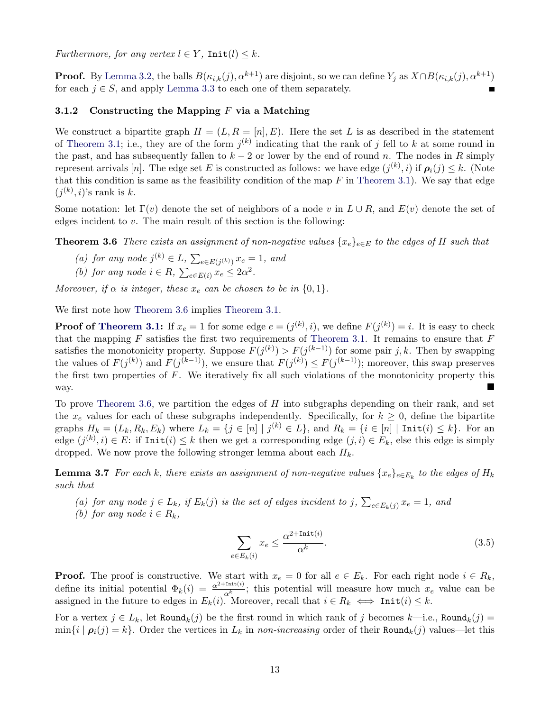Furthermore, for any vertex  $l \in Y$ , Init $(l) \leq k$ .

**Proof.** By [Lemma 3.2,](#page-10-4) the balls  $B(\kappa_{i,k}(j), \alpha^{k+1})$  are disjoint, so we can define  $Y_i$  as  $X \cap B(\kappa_{i,k}(j), \alpha^{k+1})$ for each  $j \in S$ , and apply [Lemma 3.3](#page-10-3) to each one of them separately.

#### <span id="page-12-0"></span>3.1.2 Constructing the Mapping  $F$  via a Matching

We construct a bipartite graph  $H = (L, R = [n], E)$ . Here the set L is as described in the statement of [Theorem 3.1;](#page-10-5) i.e., they are of the form  $j^{(k)}$  indicating that the rank of j fell to k at some round in the past, and has subsequently fallen to  $k - 2$  or lower by the end of round n. The nodes in R simply represent arrivals [n]. The edge set E is constructed as follows: we have edge  $(j^{(k)}, i)$  if  $\rho_i(j) \leq k$ . (Note that this condition is same as the feasibility condition of the map  $F$  in [Theorem 3.1\)](#page-10-5). We say that edge  $(j^{(k)}, i)$ 's rank is k.

Some notation: let  $\Gamma(v)$  denote the set of neighbors of a node v in  $L \cup R$ , and  $E(v)$  denote the set of edges incident to  $v$ . The main result of this section is the following:

<span id="page-12-1"></span>**Theorem 3.6** There exists an assignment of non-negative values  $\{x_e\}_{e \in E}$  to the edges of H such that

- (a) for any node  $j^{(k)} \in L$ ,  $\sum_{e \in E(j^{(k)})} x_e = 1$ , and
- (b) for any node  $i \in R$ ,  $\sum_{e \in E(i)} x_e \leq 2\alpha^2$ .

Moreover, if  $\alpha$  is integer, these  $x_e$  can be chosen to be in  $\{0,1\}$ .

We first note how [Theorem 3.6](#page-12-1) implies [Theorem 3.1.](#page-10-5)

**Proof of [Theorem 3.1:](#page-10-5)** If  $x_e = 1$  for some edge  $e = (j^{(k)}, i)$ , we define  $F(j^{(k)}) = i$ . It is easy to check that the mapping  $F$  satisfies the first two requirements of [Theorem 3.1.](#page-10-5) It remains to ensure that  $F$ satisfies the monotonicity property. Suppose  $F(j^{(k)}) > F(j^{(k-1)})$  for some pair j, k. Then by swapping the values of  $F(j^{(k)})$  and  $F(j^{(k-1)})$ , we ensure that  $F(j^{(k)}) \leq F(j^{(k-1)})$ ; moreover, this swap preserves the first two properties of  $F$ . We iteratively fix all such violations of the monotonicity property this way.

To prove [Theorem 3.6,](#page-12-1) we partition the edges of  $H$  into subgraphs depending on their rank, and set the  $x_e$  values for each of these subgraphs independently. Specifically, for  $k \geq 0$ , define the bipartite graphs  $H_k = (L_k, R_k, E_k)$  where  $L_k = \{j \in [n] \mid j^{(k)} \in L\}$ , and  $R_k = \{i \in [n] \mid \text{Init}(i) \leq k\}$ . For an edge  $(j^{(k)}, i) \in E$ : if Init $(i) \leq k$  then we get a corresponding edge  $(j, i) \in E_k$ , else this edge is simply dropped. We now prove the following stronger lemma about each  $H_k$ .

<span id="page-12-3"></span>**Lemma 3.7** For each k, there exists an assignment of non-negative values  $\{x_e\}_{e\in E_k}$  to the edges of  $H_k$ such that

- (a) for any node  $j \in L_k$ , if  $E_k(j)$  is the set of edges incident to j,  $\sum_{e \in E_k(j)} x_e = 1$ , and
- (b) for any node  $i \in R_k$ ,

<span id="page-12-2"></span>
$$
\sum_{e \in E_k(i)} x_e \le \frac{\alpha^{2+\text{Init}(i)}}{\alpha^k}.
$$
\n(3.5)

**Proof.** The proof is constructive. We start with  $x_e = 0$  for all  $e \in E_k$ . For each right node  $i \in R_k$ , define its initial potential  $\Phi_k(i) = \frac{\alpha^{2+\text{Init}(i)}}{\alpha^k}$  $\frac{d\ln\left(\mathcal{X}\right)}{d\mathcal{X}}$ ; this potential will measure how much  $x_e$  value can be assigned in the future to edges in  $E_k(i)$ . Moreover, recall that  $i \in R_k \iff \text{Init}(i) \leq k$ .

For a vertex  $j \in L_k$ , let Round<sub>k</sub> $(j)$  be the first round in which rank of j becomes k—i.e., Round<sub>k</sub> $(j)$  =  $\min\{i \mid \boldsymbol{\rho}_i(j) = k\}.$  Order the vertices in  $L_k$  in non-increasing order of their Round<sub>k</sub> $(j)$  values—let this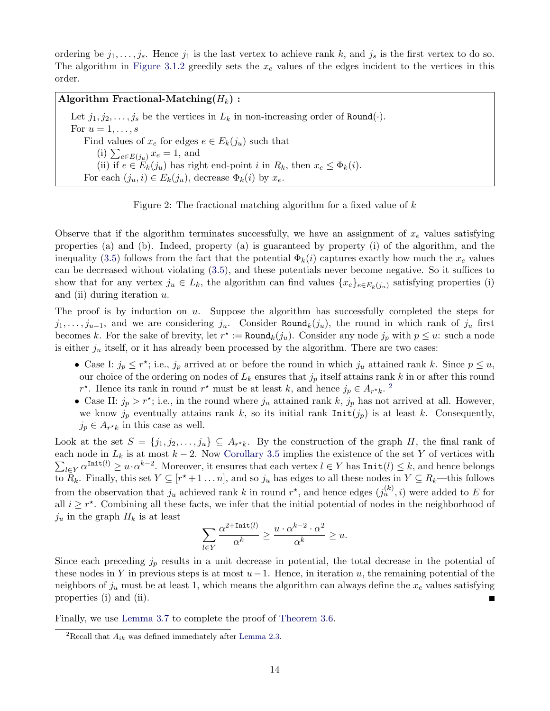ordering be  $j_1, \ldots, j_s$ . Hence  $j_1$  is the last vertex to achieve rank k, and  $j_s$  is the first vertex to do so. The algorithm in [Figure 3.1.2](#page-12-2) greedily sets the  $x_e$  values of the edges incident to the vertices in this order.

## Algorithm Fractional-Matching $(H_k)$ :

Let  $j_1, j_2, \ldots, j_s$  be the vertices in  $L_k$  in non-increasing order of Round( $\cdot$ ). For  $u=1,\ldots,s$ Find values of  $x_e$  for edges  $e \in E_k(j_u)$  such that (i)  $\sum_{e \in E(j_u)} x_e = 1$ , and (ii) if  $e \in \widetilde{E}_k(j_u)$  has right end-point i in  $R_k$ , then  $x_e \leq \Phi_k(i)$ . For each  $(j_u, i) \in E_k(j_u)$ , decrease  $\Phi_k(i)$  by  $x_e$ .

Figure 2: The fractional matching algorithm for a fixed value of k

Observe that if the algorithm terminates successfully, we have an assignment of  $x_e$  values satisfying properties (a) and (b). Indeed, property (a) is guaranteed by property (i) of the algorithm, and the inequality [\(3.5\)](#page-12-2) follows from the fact that the potential  $\Phi_k(i)$  captures exactly how much the  $x_e$  values can be decreased without violating [\(3.5\)](#page-12-2), and these potentials never become negative. So it suffices to show that for any vertex  $j_u \in L_k$ , the algorithm can find values  $\{x_e\}_{e \in E_k(j_u)}$  satisfying properties (i) and (ii) during iteration  $u$ .

The proof is by induction on u. Suppose the algorithm has successfully completed the steps for  $j_1, \ldots, j_{u-1}$ , and we are considering  $j_u$ . Consider Round<sub>k</sub> $(j_u)$ , the round in which rank of  $j_u$  first becomes k. For the sake of brevity, let  $r^* := \text{Round}_k(j_u)$ . Consider any node  $j_p$  with  $p \leq u$ : such a node is either  $j_u$  itself, or it has already been processed by the algorithm. There are two cases:

- Case I:  $j_p \leq r^*$ ; i.e.,  $j_p$  arrived at or before the round in which  $j_u$  attained rank k. Since  $p \leq u$ , our choice of the ordering on nodes of  $L_k$  ensures that  $j_p$  itself attains rank k in or after this round r<sup>\*</sup>. Hence its rank in round r<sup>\*</sup> must be at least k, and hence  $j_p \in A_{r^*k}$ .<sup>[2](#page-13-0)</sup>
- Case II:  $j_p > r^*$ ; i.e., in the round where  $j_u$  attained rank k,  $j_p$  has not arrived at all. However, we know  $j_p$  eventually attains rank k, so its initial rank  $\text{Init}(j_p)$  is at least k. Consequently,  $j_p \in A_{r^*k}$  in this case as well.

Look at the set  $S = \{j_1, j_2, \ldots, j_u\} \subseteq A_{r^*k}$ . By the construction of the graph H, the final rank of each node in  $L_k$  is at most  $k-2$ . Now [Corollary 3.5](#page-11-1) implies the existence of the set Y of vertices with  $\sum_{l\in Y}\alpha^{\text{Init}(l)} \geq u \cdot \alpha^{k-2}$ . Moreover, it ensures that each vertex  $l \in Y$  has  $\text{Init}(l) \leq k$ , and hence belongs to  $R_k$ . Finally, this set  $Y \subseteq [r^*+1 \dots n]$ , and so  $j_u$  has edges to all these nodes in  $Y \subseteq R_k$ —this follows from the observation that  $j_u$  achieved rank k in round  $r^*$ , and hence edges  $(j_u^{(k)}, i)$  were added to E for all  $i \geq r^*$ . Combining all these facts, we infer that the initial potential of nodes in the neighborhood of  $j_u$  in the graph  $H_k$  is at least

$$
\sum_{l \in Y} \frac{\alpha^{2+\text{Init}(l)}}{\alpha^k} \ge \frac{u \cdot \alpha^{k-2} \cdot \alpha^2}{\alpha^k} \ge u.
$$

Since each preceding  $j_p$  results in a unit decrease in potential, the total decrease in the potential of these nodes in Y in previous steps is at most  $u-1$ . Hence, in iteration u, the remaining potential of the neighbors of  $j_u$  must be at least 1, which means the algorithm can always define the  $x_e$  values satisfying properties (i) and (ii).  $\blacksquare$ 

Finally, we use [Lemma 3.7](#page-12-3) to complete the proof of [Theorem 3.6.](#page-12-1)

<span id="page-13-0"></span><sup>&</sup>lt;sup>2</sup>Recall that  $A_{ik}$  was defined immediately after [Lemma 2.3.](#page-5-1)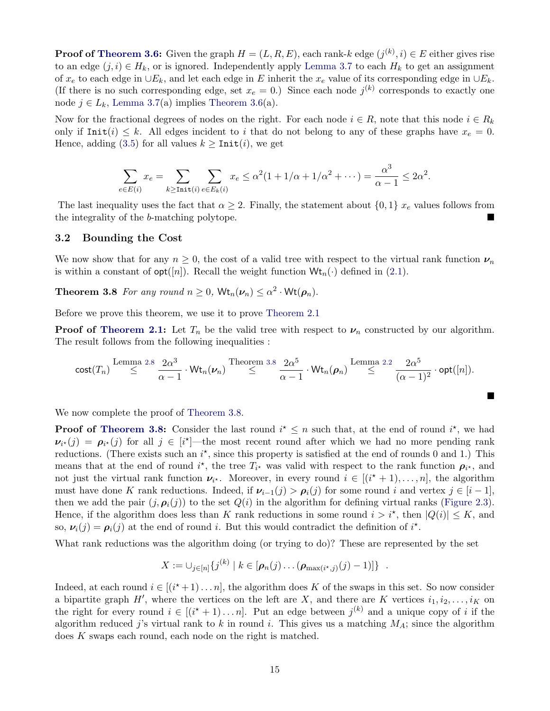**Proof of [Theorem 3.6:](#page-12-1)** Given the graph  $H = (L, R, E)$ , each rank-k edge  $(j^{(k)}, i) \in E$  either gives rise to an edge  $(j, i) \in H_k$ , or is ignored. Independently apply [Lemma 3.7](#page-12-3) to each  $H_k$  to get an assignment of  $x_e$  to each edge in  $\cup E_k$ , and let each edge in E inherit the  $x_e$  value of its corresponding edge in  $\cup E_k$ . (If there is no such corresponding edge, set  $x_e = 0$ .) Since each node  $j^{(k)}$  corresponds to exactly one node  $j \in L_k$ , [Lemma 3.7\(](#page-12-3)a) implies [Theorem 3.6\(](#page-12-1)a).

Now for the fractional degrees of nodes on the right. For each node  $i \in R$ , note that this node  $i \in R_k$ only if Init(i)  $\leq k$ . All edges incident to i that do not belong to any of these graphs have  $x_e = 0$ . Hence, adding [\(3.5\)](#page-12-2) for all values  $k \geq \text{Init}(i)$ , we get

$$
\sum_{e \in E(i)} x_e = \sum_{k \ge \text{Init}(i)} \sum_{e \in E_k(i)} x_e \le \alpha^2 (1 + 1/\alpha + 1/\alpha^2 + \dots) = \frac{\alpha^3}{\alpha - 1} \le 2\alpha^2.
$$

The last inequality uses the fact that  $\alpha \geq 2$ . Finally, the statement about  $\{0,1\}$   $x_e$  values follows from the integrality of the b-matching polytope.

#### <span id="page-14-0"></span>3.2 Bounding the Cost

We now show that for any  $n \geq 0$ , the cost of a valid tree with respect to the virtual rank function  $\nu_n$ is within a constant of  $\text{opt}([n])$ . Recall the weight function  $\mathsf{Wt}_n(\cdot)$  defined in [\(2.1\)](#page-4-2).

**Theorem 3.8** For any round  $n \geq 0$ ,  $\mathsf{Wt}_n(\nu_n) \leq \alpha^2 \cdot \mathsf{Wt}(\rho_n)$ .

Before we prove this theorem, we use it to prove [Theorem 2.1](#page-3-1)

**Proof of [Theorem 2.1:](#page-3-1)** Let  $T_n$  be the valid tree with respect to  $\nu_n$  constructed by our algorithm. The result follows from the following inequalities :

$$
\mathsf{cost}(T_n) \overset{\mathsf{Lemma 2.8}}{\leq} \frac{2\alpha^3}{\alpha-1} \cdot \mathsf{Wt}_n(\nu_n) \overset{\mathsf{Theorem 3.8}}{\leq} \frac{2\alpha^5}{\alpha-1} \cdot \mathsf{Wt}_n(\rho_n) \overset{\mathsf{Lemma 2.2}}{\leq} \frac{2\alpha^5}{(\alpha-1)^2} \cdot \mathsf{opt}([n]).
$$

<span id="page-14-1"></span>П

We now complete the proof of [Theorem 3.8.](#page-14-1)

**Proof of [Theorem 3.8:](#page-14-1)** Consider the last round  $i^* \leq n$  such that, at the end of round  $i^*$ , we had  $\nu_{i^*}(j) = \rho_{i^*}(j)$  for all  $j \in [i^*]$ —the most recent round after which we had no more pending rank reductions. (There exists such an  $i^*$ , since this property is satisfied at the end of rounds 0 and 1.) This means that at the end of round  $i^*$ , the tree  $T_{i^*}$  was valid with respect to the rank function  $\rho_{i^*}$ , and not just the virtual rank function  $\nu_{i^*}$ . Moreover, in every round  $i \in [(i^*+1), \ldots, n]$ , the algorithm must have done K rank reductions. Indeed, if  $\nu_{i-1}(j) > \rho_i(j)$  for some round i and vertex  $j \in [i-1]$ , then we add the pair  $(j, \rho_i(j))$  to the set  $Q(i)$  in the algorithm for defining virtual ranks [\(Figure 2.3\)](#page-8-0). Hence, if the algorithm does less than K rank reductions in some round  $i > i^*$ , then  $|Q(i)| \leq K$ , and so,  $\nu_i(j) = \rho_i(j)$  at the end of round *i*. But this would contradict the definition of  $i^*$ .

What rank reductions was the algorithm doing (or trying to do)? These are represented by the set

$$
X := \bigcup_{j \in [n]} \{j^{(k)} \mid k \in [\boldsymbol{\rho}_n(j) \dots (\boldsymbol{\rho}_{\max(i^*,j)}(j)-1)]\}.
$$

Indeed, at each round  $i \in [(i^*+1)...n]$ , the algorithm does K of the swaps in this set. So now consider a bipartite graph  $H'$ , where the vertices on the left are X, and there are K vertices  $i_1, i_2, \ldots, i_K$  on the right for every round  $i \in [(i^* + 1) \dots n]$ . Put an edge between  $j^{(k)}$  and a unique copy of i if the algorithm reduced j's virtual rank to k in round i. This gives us a matching  $M_A$ ; since the algorithm does K swaps each round, each node on the right is matched.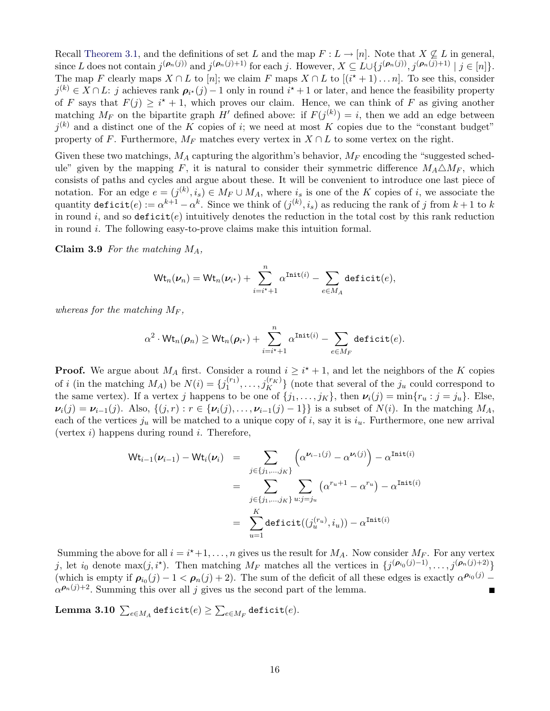Recall [Theorem 3.1,](#page-10-5) and the definitions of set L and the map  $F: L \to [n]$ . Note that  $X \nsubseteq L$  in general, since L does not contain  $j^{(p_n(j))}$  and  $j^{(p_n(j)+1)}$  for each j. However,  $X \subseteq L \cup \{j^{(p_n(j))}, j^{(p_n(j)+1)} \mid j \in [n]\}.$ The map F clearly maps  $X \cap L$  to  $[n]$ ; we claim F maps  $X \cap L$  to  $[(i^* + 1) \dots n]$ . To see this, consider  $j^{(k)} \in X \cap L$ : j achieves rank  $\rho_{i^*}(j) - 1$  only in round  $i^* + 1$  or later, and hence the feasibility property of F says that  $F(j) \geq i^* + 1$ , which proves our claim. Hence, we can think of F as giving another matching  $M_F$  on the bipartite graph H' defined above: if  $F(j^{(k)}) = i$ , then we add an edge between  $j^{(k)}$  and a distinct one of the K copies of i; we need at most K copies due to the "constant budget" property of F. Furthermore,  $M_F$  matches every vertex in  $X \cap L$  to some vertex on the right.

Given these two matchings,  $M_A$  capturing the algorithm's behavior,  $M_F$  encoding the "suggested schedule" given by the mapping F, it is natural to consider their symmetric difference  $M_A \triangle M_F$ , which consists of paths and cycles and argue about these. It will be convenient to introduce one last piece of notation. For an edge  $e = (j^{(k)}, i_s) \in M_F \cup M_A$ , where  $i_s$  is one of the K copies of i, we associate the quantity  $\texttt{deficit}(e) := \alpha^{k+1} - \alpha^k.$  Since we think of  $(j^{(k)}, i_s)$  as reducing the rank of  $j$  from  $k+1$  to  $k$ in round i, and so  $\text{deficit}(e)$  intuitively denotes the reduction in the total cost by this rank reduction in round i. The following easy-to-prove claims make this intuition formal.

**Claim 3.9** For the matching  $M_A$ ,

<span id="page-15-1"></span>
$$
\mathsf{Wt}_n(\boldsymbol{\nu}_n) = \mathsf{Wt}_n(\boldsymbol{\nu}_{i^*}) + \sum_{i=i^*+1}^n \alpha^{\mathtt{Init}(i)} - \sum_{e \in M_A} \mathtt{deficit}(e),
$$

whereas for the matching  $M_F$ ,

$$
\alpha^2 \cdot \mathsf{Wt}_n(\boldsymbol{\rho}_n) \geq \mathsf{Wt}_n(\boldsymbol{\rho}_{i^*}) + \sum_{i=i^*+1}^n \alpha^{\texttt{Init}(i)} - \sum_{e \in M_F} \texttt{deficit}(e).
$$

**Proof.** We argue about  $M_A$  first. Consider a round  $i \geq i^* + 1$ , and let the neighbors of the K copies of *i* (in the matching  $M_A$ ) be  $N(i) = \{j_1^{(r_1)}\}$  $\{1^{(r_1)}, \ldots, j_K^{(r_K)}\}$  (note that several of the  $j_u$  could correspond to the same vertex). If a vertex j happens to be one of  $\{j_1, \ldots, j_K\}$ , then  $\nu_i(j) = \min\{r_u : j = j_u\}$ . Else,  $\nu_i(j) = \nu_{i-1}(j)$ . Also,  $\{(j,r) : r \in {\{\nu_i(j), \ldots, \nu_{i-1}(j) - 1\}}\}$  is a subset of  $N(i)$ . In the matching  $M_A$ , each of the vertices  $j_u$  will be matched to a unique copy of i, say it is  $i_u$ . Furthermore, one new arrival (vertex  $i$ ) happens during round  $i$ . Therefore,

$$
\begin{aligned} \mathsf{Wt}_{i-1}(\nu_{i-1}) - \mathsf{Wt}_{i}(\nu_{i}) &= \sum_{j \in \{j_1, \dots, j_K\}} \left( \alpha^{\nu_{i-1}(j)} - \alpha^{\nu_{i}(j)} \right) - \alpha^{\text{Init}(i)} \\ &= \sum_{j \in \{j_1, \dots, j_K\}} \sum_{u:j = j_u} \left( \alpha^{r_u+1} - \alpha^{r_u} \right) - \alpha^{\text{Init}(i)} \\ &= \sum_{u=1}^K \text{deficit} \left( (j_u^{(r_u)}, i_u) \right) - \alpha^{\text{Init}(i)} \end{aligned}
$$

Summing the above for all  $i = i^*+1, \ldots, n$  gives us the result for  $M_A$ . Now consider  $M_F$ . For any vertex j, let i<sub>0</sub> denote max $(j, i^*)$ . Then matching  $M_F$  matches all the vertices in  $\{j^{(p_{i_0}(j)-1)}, \ldots, j^{(p_n(j)+2)}\}$ (which is empty if  $\rho_{i_0}(j) - 1 < \rho_n(j) + 2$ ). The sum of the deficit of all these edges is exactly  $\alpha^{\rho_{i_0}(j)}$  –  $\alpha^{\rho_n(j)+2}$ . Summing this over all j gives us the second part of the lemma.

<span id="page-15-0"></span> $\textbf{Lemma 3.10 }\sum_{e\in M_A}\texttt{deficit}(e) \geq \sum_{e\in M_F}\texttt{deficit}(e).$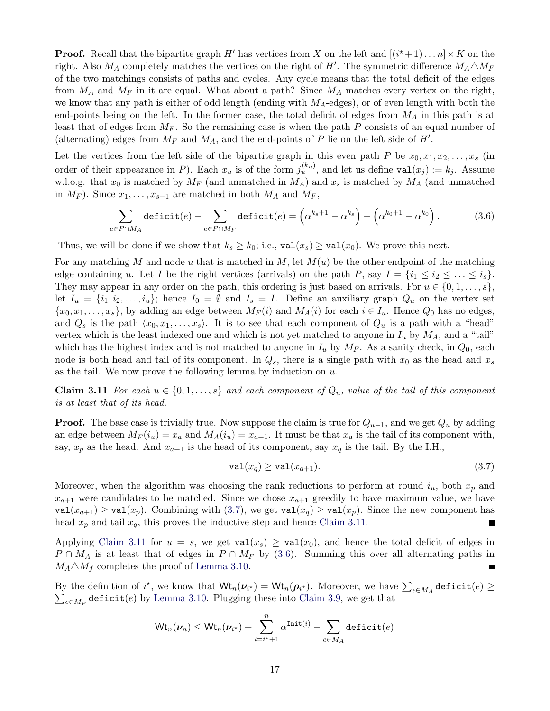**Proof.** Recall that the bipartite graph H' has vertices from X on the left and  $[(i^*+1)...n] \times K$  on the right. Also  $M_A$  completely matches the vertices on the right of H'. The symmetric difference  $M_A \triangle M_F$ of the two matchings consists of paths and cycles. Any cycle means that the total deficit of the edges from  $M_A$  and  $M_F$  in it are equal. What about a path? Since  $M_A$  matches every vertex on the right, we know that any path is either of odd length (ending with  $M_A$ -edges), or of even length with both the end-points being on the left. In the former case, the total deficit of edges from  $M_A$  in this path is at least that of edges from  $M_F$ . So the remaining case is when the path P consists of an equal number of (alternating) edges from  $M_F$  and  $M_A$ , and the end-points of P lie on the left side of  $H'$ .

Let the vertices from the left side of the bipartite graph in this even path P be  $x_0, x_1, x_2, \ldots, x_s$  (in order of their appearance in P). Each  $x_u$  is of the form  $j_u^{(k_u)}$ , and let us define  $\text{val}(x_j) := k_j$ . Assume w.l.o.g. that  $x_0$  is matched by  $M_F$  (and unmatched in  $M_A$ ) and  $x_s$  is matched by  $M_A$  (and unmatched in  $M_F$ ). Since  $x_1, \ldots, x_{s-1}$  are matched in both  $M_A$  and  $M_F$ ,

$$
\sum_{e \in P \cap M_A} \text{deficit}(e) - \sum_{e \in P \cap M_F} \text{deficit}(e) = \left(\alpha^{k_s+1} - \alpha^{k_s}\right) - \left(\alpha^{k_0+1} - \alpha^{k_0}\right). \tag{3.6}
$$

Thus, we will be done if we show that  $k_s \geq k_0$ ; i.e.,  $\text{val}(x_s) \geq \text{val}(x_0)$ . We prove this next.

For any matching M and node u that is matched in  $M$ , let  $M(u)$  be the other endpoint of the matching edge containing u. Let I be the right vertices (arrivals) on the path P, say  $I = \{i_1 \le i_2 \le \ldots \le i_s\}.$ They may appear in any order on the path, this ordering is just based on arrivals. For  $u \in \{0, 1, \ldots, s\}$ , let  $I_u = \{i_1, i_2, \ldots, i_u\}$ ; hence  $I_0 = \emptyset$  and  $I_s = I$ . Define an auxiliary graph  $Q_u$  on the vertex set  ${x_0, x_1, \ldots, x_s}$ , by adding an edge between  $M_F(i)$  and  $M_A(i)$  for each  $i \in I_u$ . Hence  $Q_0$  has no edges, and  $Q_s$  is the path  $\langle x_0, x_1, \ldots, x_s \rangle$ . It is to see that each component of  $Q_u$  is a path with a "head" vertex which is the least indexed one and which is not yet matched to anyone in  $I_u$  by  $M_A$ , and a "tail" which has the highest index and is not matched to anyone in  $I_u$  by  $M_F$ . As a sanity check, in  $Q_0$ , each node is both head and tail of its component. In  $Q_s$ , there is a single path with  $x_0$  as the head and  $x_s$ as the tail. We now prove the following lemma by induction on  $u$ .

**Claim 3.11** For each  $u \in \{0, 1, \ldots, s\}$  and each component of  $Q_u$ , value of the tail of this component is at least that of its head.

**Proof.** The base case is trivially true. Now suppose the claim is true for  $Q_{u-1}$ , and we get  $Q_u$  by adding an edge between  $M_F(i_u) = x_a$  and  $M_A(i_u) = x_{a+1}$ . It must be that  $x_a$  is the tail of its component with, say,  $x_p$  as the head. And  $x_{a+1}$  is the head of its component, say  $x_q$  is the tail. By the I.H.,

<span id="page-16-2"></span><span id="page-16-1"></span><span id="page-16-0"></span>
$$
\operatorname{val}(x_q) \ge \operatorname{val}(x_{a+1}).\tag{3.7}
$$

Moreover, when the algorithm was choosing the rank reductions to perform at round  $i_u$ , both  $x_p$  and  $x_{a+1}$  were candidates to be matched. Since we chose  $x_{a+1}$  greedily to have maximum value, we have  $\text{val}(x_{a+1}) \geq \text{val}(x_p)$ . Combining with [\(3.7\)](#page-16-0), we get  $\text{val}(x_q) \geq \text{val}(x_p)$ . Since the new component has head  $x_p$  and tail  $x_q$ , this proves the inductive step and hence [Claim 3.11.](#page-16-1)

Applying [Claim 3.11](#page-16-1) for  $u = s$ , we get  $val(x_s) \ge val(x_0)$ , and hence the total deficit of edges in  $P \cap M_A$  is at least that of edges in  $P \cap M_F$  by [\(3.6\)](#page-16-2). Summing this over all alternating paths in  $M_A \triangle M_f$  completes the proof of [Lemma 3.10.](#page-15-0)  $\blacksquare$ 

By the definition of  $i^*$ , we know that  $\mathsf{Wt}_n(\nu_{i^*}) = \mathsf{Wt}_n(\rho_{i^*})$ . Moreover, we have  $\sum_{e \in M_A}$  deficit $(e) \geq$ By the definition of  $i$ , we know that  $\mathbf{w}_{n}(\mathbf{p}_{i^{*}}) = \mathbf{w}_{n}(\mathbf{p}_{i^{*}})$ . Moreover, we have  $\sum_{e \in M_{A}} \sum_{e \in M_{A}}$ <br> $\sum_{e \in M_{F}}$  deficit(e) by [Lemma 3.10.](#page-15-0) Plugging these into [Claim 3.9,](#page-15-1) we get that

$$
\mathsf{Wt}_n(\boldsymbol{\nu}_n) \leq \mathsf{Wt}_n(\boldsymbol{\nu}_{i^{\star}}) + \sum_{i=i^{\star}+1}^n \alpha^{\mathtt{Init}(i)} - \sum_{e \in M_A} \mathtt{deficit}(e)
$$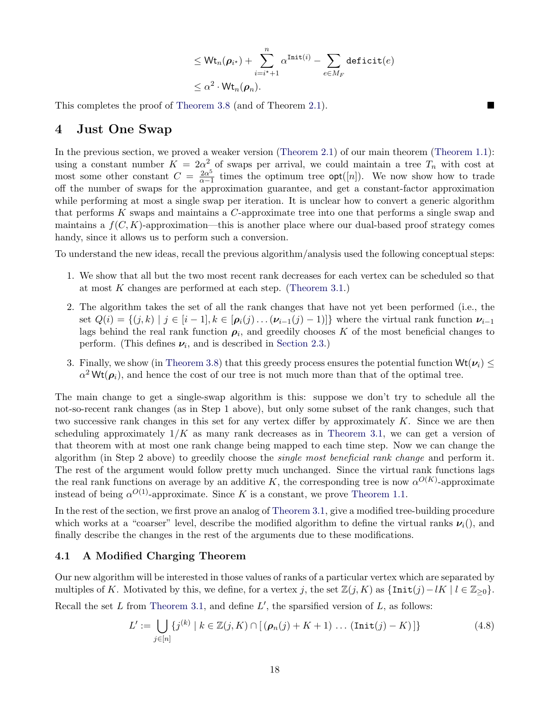$$
\leq \mathsf{Wt}_n(\rho_{i^*}) + \sum_{i=i^*+1}^n \alpha^{\texttt{Init}(i)} - \sum_{e \in M_F} \texttt{deficit}(e)
$$
  

$$
\leq \alpha^2 \cdot \mathsf{Wt}_n(\rho_n).
$$

This completes the proof of [Theorem 3.8](#page-14-1) (and of Theorem [2.1\)](#page-3-1).

# <span id="page-17-0"></span>4 Just One Swap

In the previous section, we proved a weaker version [\(Theorem 2.1\)](#page-3-1) of our main theorem [\(Theorem 1.1\)](#page-1-1): using a constant number  $K = 2\alpha^2$  of swaps per arrival, we could maintain a tree  $T_n$  with cost at most some other constant  $C = \frac{2\alpha^5}{\alpha - 1}$  $\frac{2\alpha^3}{\alpha-1}$  times the optimum tree **opt**([n]). We now show how to trade off the number of swaps for the approximation guarantee, and get a constant-factor approximation while performing at most a single swap per iteration. It is unclear how to convert a generic algorithm that performs K swaps and maintains a C-approximate tree into one that performs a single swap and maintains a  $f(C, K)$ -approximation—this is another place where our dual-based proof strategy comes handy, since it allows us to perform such a conversion.

To understand the new ideas, recall the previous algorithm/analysis used the following conceptual steps:

- 1. We show that all but the two most recent rank decreases for each vertex can be scheduled so that at most K changes are performed at each step. [\(Theorem 3.1.](#page-10-5))
- 2. The algorithm takes the set of all the rank changes that have not yet been performed (i.e., the set  $Q(i) = \{(j,k) | j \in [i-1], k \in [\rho_i(j)...(\nu_{i-1}(j)-1)]\}$  where the virtual rank function  $\nu_{i-1}$ lags behind the real rank function  $\rho_i$ , and greedily chooses K of the most beneficial changes to perform. (This defines  $v_i$ , and is described in [Section 2.3.](#page-8-0))
- 3. Finally, we show (in [Theorem 3.8\)](#page-14-1) that this greedy process ensures the potential function  $Wt(\nu_i) \leq$  $\alpha^2 \mathsf{Wt}(\rho_i)$ , and hence the cost of our tree is not much more than that of the optimal tree.

The main change to get a single-swap algorithm is this: suppose we don't try to schedule all the not-so-recent rank changes (as in Step 1 above), but only some subset of the rank changes, such that two successive rank changes in this set for any vertex differ by approximately  $K$ . Since we are then scheduling approximately  $1/K$  as many rank decreases as in [Theorem 3.1,](#page-10-5) we can get a version of that theorem with at most one rank change being mapped to each time step. Now we can change the algorithm (in Step 2 above) to greedily choose the single most beneficial rank change and perform it. The rest of the argument would follow pretty much unchanged. Since the virtual rank functions lags the real rank functions on average by an additive K, the corresponding tree is now  $\alpha^{O(K)}$ -approximate instead of being  $\alpha^{O(1)}$ -approximate. Since K is a constant, we prove [Theorem 1.1.](#page-1-1)

In the rest of the section, we first prove an analog of [Theorem 3.1,](#page-10-5) give a modified tree-building procedure which works at a "coarser" level, describe the modified algorithm to define the virtual ranks  $\nu_i($ ), and finally describe the changes in the rest of the arguments due to these modifications.

## 4.1 A Modified Charging Theorem

Our new algorithm will be interested in those values of ranks of a particular vertex which are separated by multiples of K. Motivated by this, we define, for a vertex j, the set  $\mathbb{Z}(j, K)$  as  $\{\text{Init}(j) - lK \mid l \in \mathbb{Z}_{\geq 0}\}.$ 

Recall the set  $L$  from [Theorem 3.1,](#page-10-5) and define  $L'$ , the sparsified version of  $L$ , as follows:

$$
L' := \bigcup_{j \in [n]} \{j^{(k)} \mid k \in \mathbb{Z}(j, K) \cap [(\boldsymbol{\rho}_n(j) + K + 1) \dots (\text{Init}(j) - K)]\}
$$
(4.8)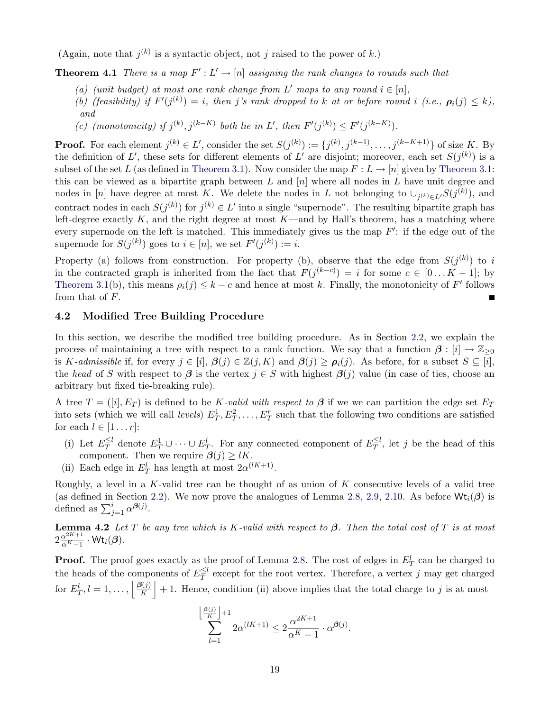(Again, note that  $j^{(k)}$  is a syntactic object, not j raised to the power of k.)

**Theorem 4.1** There is a map  $F': L' \to [n]$  assigning the rank changes to rounds such that

- <span id="page-18-0"></span>(a) (unit budget) at most one rank change from L' maps to any round  $i \in [n]$ ,
- (b) (feasibility) if  $F'(j^{(k)}) = i$ , then j's rank dropped to k at or before round i (i.e.,  $\rho_i(j) \leq k$ ), and
- (c) (monotonicity) if  $j^{(k)}$ ,  $j^{(k-K)}$  both lie in L', then  $F'(j^{(k)}) \leq F'(j^{(k-K)})$ .

**Proof.** For each element  $j^{(k)} \in L'$ , consider the set  $S(j^{(k)}) := \{j^{(k)}, j^{(k-1)}, \ldots, j^{(k-K+1)}\}$  of size K. By the definition of L', these sets for different elements of L' are disjoint; moreover, each set  $S(j^{(k)})$  is a subset of the set L (as defined in [Theorem 3.1\)](#page-10-5). Now consider the map  $F: L \to [n]$  given by [Theorem 3.1:](#page-10-5) this can be viewed as a bipartite graph between L and  $[n]$  where all nodes in L have unit degree and nodes in [n] have degree at most K. We delete the nodes in L not belonging to  $\cup_{j^{(k)}\in L'}S(j^{(k)})$ , and contract nodes in each  $S(j^{(k)})$  for  $j^{(k)} \in L'$  into a single "supernode". The resulting bipartite graph has left-degree exactly K, and the right degree at most  $K$ —and by Hall's theorem, has a matching where every supernode on the left is matched. This immediately gives us the map  $F'$ : if the edge out of the supernode for  $S(j^{(k)})$  goes to  $i \in [n]$ , we set  $F'(j^{(k)}) := i$ .

Property (a) follows from construction. For property (b), observe that the edge from  $S(j^{(k)})$  to i in the contracted graph is inherited from the fact that  $F(j^{(k-c)}) = i$  for some  $c \in [0...K-1]$ ; by [Theorem 3.1\(](#page-10-5)b), this means  $\rho_i(j) \leq k - c$  and hence at most k. Finally, the monotonicity of F' follows from that of F.  $\blacksquare$ 

## 4.2 Modified Tree Building Procedure

In this section, we describe the modified tree building procedure. As in Section [2.2,](#page-6-0) we explain the process of maintaining a tree with respect to a rank function. We say that a function  $\beta : [i] \to \mathbb{Z}_{\geq 0}$ is K-admissible if, for every  $j \in [i], \beta(j) \in \mathbb{Z}(j, K)$  and  $\beta(j) \ge \rho_i(j)$ . As before, for a subset  $S \subseteq [i]$ , the head of S with respect to  $\beta$  is the vertex  $j \in S$  with highest  $\beta(j)$  value (in case of ties, choose an arbitrary but fixed tie-breaking rule).

A tree  $T = ([i], E_T)$  is defined to be K-valid with respect to  $\beta$  if we we can partition the edge set  $E_T$ into sets (which we will call *levels*)  $E_T^1, E_T^2, \ldots, E_T^r$  such that the following two conditions are satisfied for each  $l \in [1 \dots r]$ :

- (i) Let  $E_T^{\leq l}$  $\overline{F}_T^l$  denote  $E_T^1 \cup \cdots \cup E_T^l$ . For any connected component of  $E_T^{\leq l}$  $\sum_{i=1}^{n}$ , let j be the head of this component. Then we require  $\beta(j) \geq lK$ .
- (ii) Each edge in  $E_T^l$  has length at most  $2\alpha^{(lK+1)}$ .

Roughly, a level in a  $K$ -valid tree can be thought of as union of  $K$  consecutive levels of a valid tree (as defined in Section [2.2\)](#page-6-0). We now prove the analogues of Lemma [2.8,](#page-6-4) [2.9,](#page-7-0) [2.10.](#page-8-1) As before  $W_{t_i}(\beta)$  is defined as  $\sum_{j=1}^{i} \alpha^{\beta(j)}$ .

**Lemma 4.2** Let T be any tree which is K-valid with respect to  $\beta$ . Then the total cost of T is at most  $2\frac{\alpha^{2K+1}}{\alpha^{K}}$  $\frac{\alpha^{2n+1}}{\alpha^{K}-1} \cdot \mathsf{Wt}_i(\boldsymbol{\beta}).$ 

**Proof.** The proof goes exactly as the proof of Lemma [2.8.](#page-6-4) The cost of edges in  $E_T^l$  can be charged to the heads of the components of  $E_T^{\leq l}$  $\frac{1}{T}^l$  except for the root vertex. Therefore, a vertex j may get charged for  $E_T^l, l = 1, \ldots, \left| \frac{\beta(j)}{K} \right|$  $\frac{\partial(j)}{K}$  + 1. Hence, condition (ii) above implies that the total charge to j is at most

$$
\sum_{l=1}^{\left\lfloor \frac{\beta(j)}{K} \right\rfloor + 1} 2\alpha^{(IK+1)} \leq 2 \frac{\alpha^{2K+1}}{\alpha^{K} - 1} \cdot \alpha^{\beta(j)}.
$$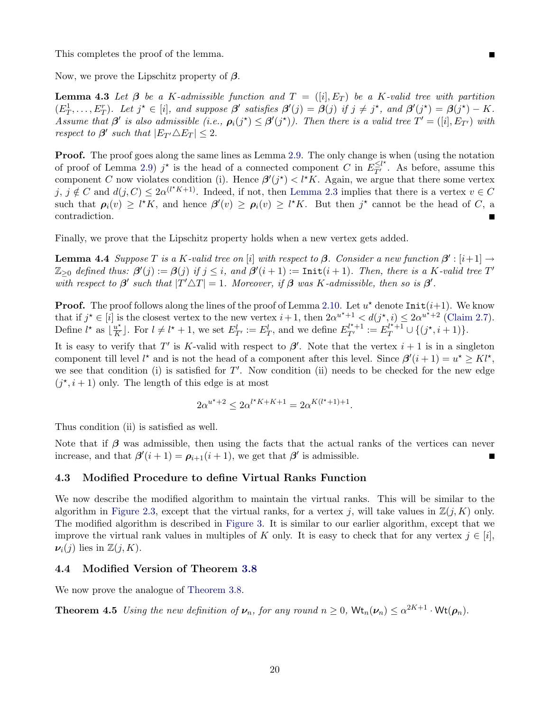This completes the proof of the lemma.

Now, we prove the Lipschitz property of  $\beta$ .

**Lemma 4.3** Let  $\beta$  be a K-admissible function and  $T = ([i], E_T)$  be a K-valid tree with partition  $(E_T^1, \ldots, E_T^r)$ . Let  $j^* \in [i]$ , and suppose  $\beta'$  satisfies  $\beta'(j) = \beta(j)$  if  $j \neq j^*$ , and  $\beta'(j^*) = \beta(j^*) - K$ . Assume that  $\beta'$  is also admissible (i.e.,  $\rho_i(j^*) \leq \beta'(j^*)$ ). Then there is a valid tree  $T' = ([i], E_{T'})$  with respect to  $\beta'$  such that  $|E_{T'} \triangle E_T| \leq 2$ .

Proof. The proof goes along the same lines as Lemma [2.9.](#page-7-0) The only change is when (using the notation of proof of Lemma [2.9\)](#page-7-0)  $j^*$  is the head of a connected component C in  $E_{\overline{T'}}^{\leq l^*}$ . As before, assume this component C now violates condition (i). Hence  $\beta'(j^*) < l^*K$ . Again, we argue that there some vertex j, j  $\notin C$  and  $d(j, C) \leq 2\alpha^{(l^*K+1)}$ . Indeed, if not, then [Lemma 2.3](#page-5-1) implies that there is a vertex  $v \in C$ such that  $\rho_i(v) \geq l^*K$ , and hence  $\beta'(v) \geq \rho_i(v) \geq l^*K$ . But then  $j^*$  cannot be the head of C, a contradiction.

Finally, we prove that the Lipschitz property holds when a new vertex gets added.

**Lemma 4.4** Suppose T is a K-valid tree on [i] with respect to  $\beta$ . Consider a new function  $\beta' : [i+1] \rightarrow$  $\mathbb{Z}_{\geq 0}$  defined thus:  $\beta'(j) := \beta(j)$  if  $j \leq i$ , and  $\beta'(i+1) := \text{Init}(i+1)$ . Then, there is a K-valid tree T' with respect to  $\beta'$  such that  $|T' \triangle T| = 1$ . Moreover, if  $\beta$  was K-admissible, then so is  $\beta'$ .

**Proof.** The proof follows along the lines of the proof of Lemma [2.10.](#page-8-1) Let  $u^*$  denote  $Init(i+1)$ . We know that if  $j^* \in [i]$  is the closest vertex to the new vertex  $i+1$ , then  $2\alpha^{u^*+1} < d(j^*, i) \leq 2\alpha^{u^*+2}$  [\(Claim 2.7\)](#page-6-3). Define  $l^*$  as  $\frac{u^*}{K}$  $\frac{u^*}{K}$ . For  $l \neq l^* + 1$ , we set  $E_{T'}^l := E_T^l$ , and we define  $E_{T'}^{l^*+1} := E_T^{l^*+1} \cup \{(j^*, i+1)\}.$ 

It is easy to verify that T' is K-valid with respect to  $\beta'$ . Note that the vertex  $i+1$  is in a singleton component till level  $l^*$  and is not the head of a component after this level. Since  $\beta'(i+1) = u^* \geq K l^*$ , we see that condition (i) is satisfied for  $T'$ . Now condition (ii) needs to be checked for the new edge  $(j^*, i+1)$  only. The length of this edge is at most

$$
2{\alpha^u}^{\star+2} \leq 2{\alpha^{l^{\star}K+K+1}} = 2{\alpha^{K(l^{\star}+1)+1}}.
$$

Thus condition (ii) is satisfied as well.

Note that if  $\beta$  was admissible, then using the facts that the actual ranks of the vertices can never increase, and that  $\beta'(i+1) = \rho_{i+1}(i+1)$ , we get that  $\beta'$  is admissible.

#### 4.3 Modified Procedure to define Virtual Ranks Function

We now describe the modified algorithm to maintain the virtual ranks. This will be similar to the algorithm in [Figure 2.3,](#page-8-0) except that the virtual ranks, for a vertex j, will take values in  $\mathbb{Z}(j, K)$  only. The modified algorithm is described in [Figure 3.](#page-20-0) It is similar to our earlier algorithm, except that we improve the virtual rank values in multiples of K only. It is easy to check that for any vertex  $j \in [i],$  $\nu_i(j)$  lies in  $\mathbb{Z}(j,K)$ .

#### 4.4 Modified Version of Theorem [3.8](#page-14-1)

We now prove the analogue of [Theorem 3.8.](#page-14-1)

**Theorem 4.5** Using the new definition of  $\nu_n$ , for any round  $n \geq 0$ ,  $\mathsf{Wt}_n(\nu_n) \leq \alpha^{2K+1} \cdot \mathsf{Wt}(\rho_n)$ .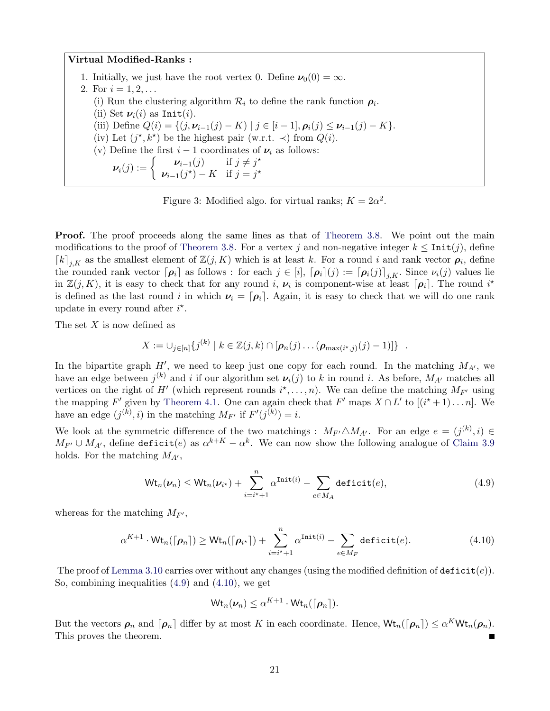#### Virtual Modified-Ranks :

1. Initially, we just have the root vertex 0. Define  $\nu_0(0) = \infty$ .

2. For  $i = 1, 2, \ldots$ 

- (i) Run the clustering algorithm  $\mathcal{R}_i$  to define the rank function  $\rho_i$ .
- (ii) Set  $\nu_i(i)$  as Init(*i*).
- (iii) Define  $Q(i) = \{(j, \nu_{i-1}(j) K) | j \in [i-1], \rho_i(j) \leq \nu_{i-1}(j) K\}.$
- (iv) Let  $(j^*, k^*)$  be the highest pair (w.r.t.  $\prec$ ) from  $Q(i)$ .
- (v) Define the first  $i 1$  coordinates of  $\nu_i$  as follows:

$$
\nu_i(j) := \begin{cases} \nu_{i-1}(j) & \text{if } j \neq j^\star \\ \nu_{i-1}(j^\star) - K & \text{if } j = j^\star \end{cases}
$$

<span id="page-20-0"></span>Figure 3: Modified algo. for virtual ranks;  $K = 2\alpha^2$ .

**Proof.** The proof proceeds along the same lines as that of [Theorem 3.8.](#page-14-1) We point out the main modifications to the proof of [Theorem 3.8.](#page-14-1) For a vertex j and non-negative integer  $k \leq \text{Init}(j)$ , define  $[k]_{j,K}$  as the smallest element of  $\mathbb{Z}(j,K)$  which is at least k. For a round i and rank vector  $\rho_i$ , define the rounded rank vector  $\lceil \rho_i \rceil$  as follows : for each  $j \in [i], \lceil \rho_i \rceil(j) := \lceil \rho_i(j) \rceil_{i,K}$ . Since  $\nu_i(j)$  values lie in  $\mathbb{Z}(j,K)$ , it is easy to check that for any round i,  $\nu_i$  is component-wise at least  $[\rho_i]$ . The round i<sup>\*</sup> is defined as the last round i in which  $\nu_i = [\rho_i]$ . Again, it is easy to check that we will do one rank update in every round after  $i^*$ .

The set  $X$  is now defined as

$$
X := \bigcup_{j \in [n]} \{j^{(k)} \mid k \in \mathbb{Z}(j,k) \cap [\boldsymbol{\rho}_n(j) \dots (\boldsymbol{\rho}_{\max(i^*,j)}(j)-1)]\}.
$$

In the bipartite graph  $H'$ , we need to keep just one copy for each round. In the matching  $M_{A'}$ , we have an edge between  $j^{(k)}$  and i if our algorithm set  $\nu_i(j)$  to k in round i. As before,  $M_{A'}$  matches all vertices on the right of H' (which represent rounds  $i^*, \ldots, n$ ). We can define the matching  $M_{F'}$  using the mapping F' given by [Theorem 4.1.](#page-18-0) One can again check that F' maps  $X \cap L'$  to  $[(i^* + 1)...n]$ . We have an edge  $(j^{(k)}, i)$  in the matching  $M_{F'}$  if  $F'(j^{(k)}) = i$ .

We look at the symmetric difference of the two matchings :  $M_{F} \triangle M_{A'}$ . For an edge  $e = (j^{(k)}, i) \in$  $M_{F'} \cup M_{A'}$ , define deficit $(e)$  as  $\alpha^{k+K} - \alpha^k$ . We can now show the following analogue of [Claim 3.9](#page-15-1) holds. For the matching  $M_{A}$ ,

<span id="page-20-1"></span>
$$
\mathsf{Wt}_n(\nu_n) \leq \mathsf{Wt}_n(\nu_{i^*}) + \sum_{i=i^*+1}^n \alpha^{\text{Init}(i)} - \sum_{e \in M_A} \text{deficit}(e),\tag{4.9}
$$

whereas for the matching  $M_{F}$ ,

<span id="page-20-2"></span>
$$
\alpha^{K+1} \cdot \operatorname{Wt}_n(\lceil \boldsymbol{\rho}_n \rceil) \ge \operatorname{Wt}_n(\lceil \boldsymbol{\rho}_{i^*} \rceil) + \sum_{i=i^*+1}^n \alpha^{\operatorname{Init}(i)} - \sum_{e \in M_F} \operatorname{deficit}(e). \tag{4.10}
$$

The proof of [Lemma 3.10](#page-15-0) carries over without any changes (using the modified definition of  $\texttt{deficit}(e)$ ). So, combining inequalities [\(4.9\)](#page-20-1) and [\(4.10\)](#page-20-2), we get

$$
\mathsf{Wt}_n(\nu_n) \leq \alpha^{K+1} \cdot \mathsf{Wt}_n(\lceil \boldsymbol{\rho}_n \rceil).
$$

But the vectors  $\rho_n$  and  $\lceil \rho_n \rceil$  differ by at most K in each coordinate. Hence,  $\mathsf{Wt}_n(\lceil \rho_n \rceil) \leq \alpha^K \mathsf{Wt}_n(\rho_n)$ . This proves the theorem.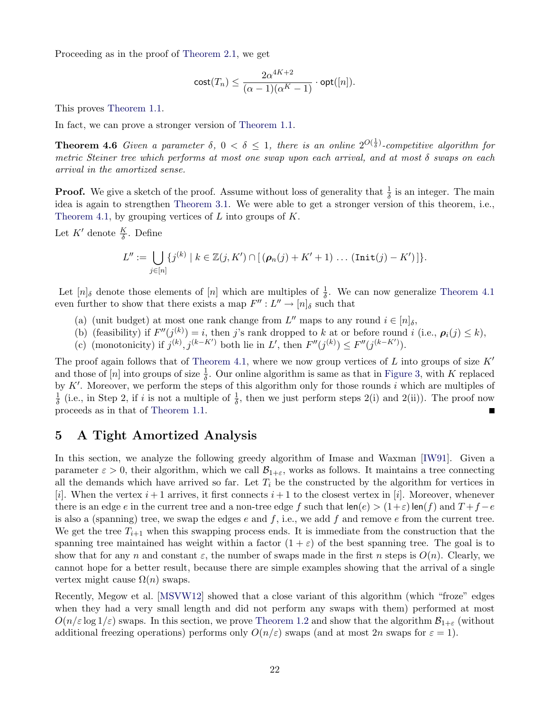Proceeding as in the proof of [Theorem 2.1,](#page-3-1) we get

<span id="page-21-0"></span>
$$
\textnormal{cost}(T_n) \leq \frac{2\alpha^{4K+2}}{(\alpha-1)(\alpha^{K}-1)} \cdot \textnormal{opt}([n]).
$$

This proves [Theorem 1.1.](#page-1-1)

In fact, we can prove a stronger version of [Theorem 1.1.](#page-1-1)

**Theorem 4.6** Given a parameter  $\delta$ ,  $0 < \delta \leq 1$ , there is an online  $2^{O(\frac{1}{\delta})}$ -competitive algorithm for metric Steiner tree which performs at most one swap upon each arrival, and at most δ swaps on each arrival in the amortized sense.

**Proof.** We give a sketch of the proof. Assume without loss of generality that  $\frac{1}{\delta}$  is an integer. The main idea is again to strengthen [Theorem 3.1.](#page-10-5) We were able to get a stronger version of this theorem, i.e., [Theorem 4.1,](#page-18-0) by grouping vertices of  $L$  into groups of  $K$ .

Let  $K'$  denote  $\frac{K}{\delta}$ . Define

$$
L'':=\bigcup_{j\in [n]}\{j^{(k)}\mid k\in \mathbb{Z}(j,K')\cap [\,(\boldsymbol{\rho}_n(j)+K'+1)\,\ldots\,(\texttt{Init}(j)-K')\,]\}.
$$

Let  $[n]_{\delta}$  denote those elements of  $[n]$  which are multiples of  $\frac{1}{\delta}$ . We can now generalize [Theorem 4.1](#page-18-0) even further to show that there exists a map  $F'' : L'' \to [n]_{\delta}$  such that

- (a) (unit budget) at most one rank change from  $L''$  maps to any round  $i \in [n]_\delta$ ,
- (b) (feasibility) if  $F''(j^{(k)}) = i$ , then j's rank dropped to k at or before round i (i.e.,  $\rho_i(j) \leq k$ ),
- (c) (monotonicity) if  $j^{(k)}$ ,  $j^{(k-K')}$  both lie in L', then  $F''(j^{(k)}) \leq F''(j^{(k-K')})$ .

The proof again follows that of [Theorem 4.1,](#page-18-0) where we now group vertices of L into groups of size  $K'$ and those of  $[n]$  into groups of size  $\frac{1}{\delta}$ . Our online algorithm is same as that in [Figure 3,](#page-20-0) with K replaced by  $K'$ . Moreover, we perform the steps of this algorithm only for those rounds i which are multiples of 1  $\frac{1}{\delta}$  (i.e., in Step 2, if i is not a multiple of  $\frac{1}{\delta}$ , then we just perform steps 2(i) and 2(ii)). The proof now proceeds as in that of [Theorem 1.1.](#page-1-1)  $\blacksquare$ 

# <span id="page-21-1"></span>5 A Tight Amortized Analysis

In this section, we analyze the following greedy algorithm of Imase and Waxman [\[IW91\]](#page-27-0). Given a parameter  $\varepsilon > 0$ , their algorithm, which we call  $\mathcal{B}_{1+\varepsilon}$ , works as follows. It maintains a tree connecting all the demands which have arrived so far. Let  $T_i$  be the constructed by the algorithm for vertices in [i]. When the vertex  $i+1$  arrives, it first connects  $i+1$  to the closest vertex in [i]. Moreover, whenever there is an edge e in the current tree and a non-tree edge f such that  $\text{len}(e) > (1+\varepsilon)\text{len}(f)$  and  $T+f-e$ is also a (spanning) tree, we swap the edges  $e$  and  $f$ , i.e., we add  $f$  and remove  $e$  from the current tree. We get the tree  $T_{i+1}$  when this swapping process ends. It is immediate from the construction that the spanning tree maintained has weight within a factor  $(1 + \varepsilon)$  of the best spanning tree. The goal is to show that for any n and constant  $\varepsilon$ , the number of swaps made in the first n steps is  $O(n)$ . Clearly, we cannot hope for a better result, because there are simple examples showing that the arrival of a single vertex might cause  $\Omega(n)$  swaps.

Recently, Megow et al. [\[MSVW12\]](#page-27-1) showed that a close variant of this algorithm (which "froze" edges when they had a very small length and did not perform any swaps with them) performed at most  $O(n/\varepsilon \log 1/\varepsilon)$  swaps. In this section, we prove [Theorem 1.2](#page-1-2) and show that the algorithm  $\mathcal{B}_{1+\varepsilon}$  (without additional freezing operations) performs only  $O(n/\varepsilon)$  swaps (and at most 2n swaps for  $\varepsilon = 1$ ).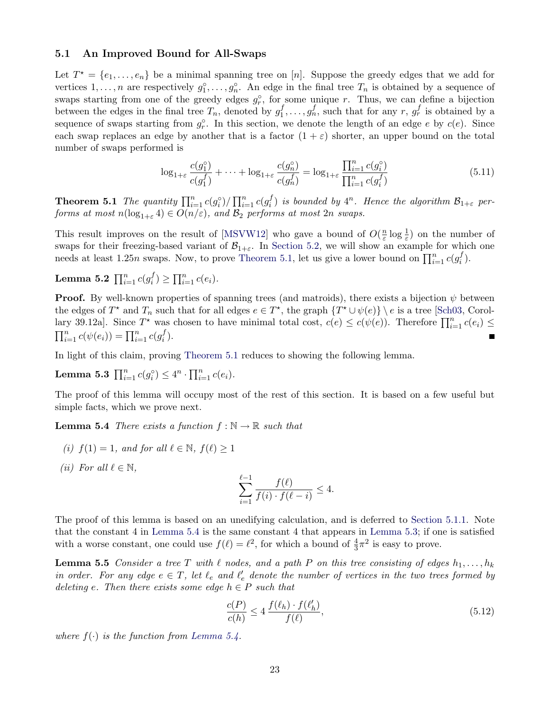## 5.1 An Improved Bound for All-Swaps

Let  $T^* = \{e_1, \ldots, e_n\}$  be a minimal spanning tree on [n]. Suppose the greedy edges that we add for vertices  $1, \ldots, n$  are respectively  $g_1^{\circ}, \ldots, g_n^{\circ}$ . An edge in the final tree  $T_n$  is obtained by a sequence of swaps starting from one of the greedy edges  $g_r^{\circ}$ , for some unique r. Thus, we can define a bijection between the edges in the final tree  $T_n$ , denoted by  $g_1^f$  $j_1^f, \ldots, g_n^f$ , such that for any  $r, g_r^f$  is obtained by a sequence of swaps starting from  $g_r^{\circ}$ . In this section, we denote the length of an edge e by  $c(e)$ . Since each swap replaces an edge by another that is a factor  $(1 + \varepsilon)$  shorter, an upper bound on the total number of swaps performed is

$$
\log_{1+\varepsilon} \frac{c(g_1^{\circ})}{c(g_1^f)} + \dots + \log_{1+\varepsilon} \frac{c(g_n^{\circ})}{c(g_n^f)} = \log_{1+\varepsilon} \frac{\prod_{i=1}^n c(g_i^{\circ})}{\prod_{i=1}^n c(g_i^f)}
$$
(5.11)

<span id="page-22-0"></span>**Theorem 5.1** The quantity  $\prod_{i=1}^{n} c(g_i^{\circ}) / \prod_{i=1}^{n} c(g_i^f)$  $\mathbf{E}_i^f$ ) is bounded by  $4^n$ . Hence the algorithm  $\mathcal{B}_{1+\varepsilon}$  performs at most  $n(\log_{1+\varepsilon} 4) \in O(n/\varepsilon)$ , and  $\mathcal{B}_2$  performs at most  $2n$  swaps.

This result improves on the result of [\[MSVW12\]](#page-27-1) who gave a bound of  $O(\frac{n}{\epsilon})$  $\frac{n}{\varepsilon} \log \frac{1}{\varepsilon}$ ) on the number of swaps for their freezing-based variant of  $\mathcal{B}_{1+\varepsilon}$ . In [Section 5.2,](#page-25-0) we will show an example for which one needs at least 1.25*n* swaps. Now, to prove [Theorem 5.1,](#page-22-0) let us give a lower bound on  $\prod_{i=1}^{n} c(g_i^f)$  $\binom{J}{i}$ .

Lemma 5.2  $\prod_{i=1}^n c(g_i^f)$  $i^{(f)} \geq \prod_{i=1}^{n} c(e_i).$ 

**Proof.** By well-known properties of spanning trees (and matroids), there exists a bijection  $\psi$  between the edges of  $T^*$  and  $T_n$  such that for all edges  $e \in T^*$ , the graph  $\{T^* \cup \psi(e)\} \setminus e$  is a tree [\[Sch03,](#page-27-13) Corollary 39.12a]. Since  $T^*$  was chosen to have minimal total cost,  $c(e) \leq c(\psi(e))$ . Therefore  $\prod_{i=1}^n c(e_i) \leq$  $\prod_{i=1}^{n} c(\psi(e_i)) = \prod_{i=1}^{n} c(g_i^f)$  $\binom{J}{i}$ .

In light of this claim, proving [Theorem 5.1](#page-22-0) reduces to showing the following lemma.

Lemma 5.3  $\prod_{i=1}^{n} c(g_i^{\circ}) \leq 4^n \cdot \prod_{i=1}^{n} c(e_i)$ .

The proof of this lemma will occupy most of the rest of this section. It is based on a few useful but simple facts, which we prove next.

<span id="page-22-1"></span>**Lemma 5.4** There exists a function  $f : \mathbb{N} \to \mathbb{R}$  such that

- (i)  $f(1) = 1$ , and for all  $\ell \in \mathbb{N}$ ,  $f(\ell) \geq 1$
- (ii) For all  $\ell \in \mathbb{N}$ ,

<span id="page-22-5"></span><span id="page-22-2"></span>
$$
\sum_{i=1}^{\ell-1} \frac{f(\ell)}{f(i) \cdot f(\ell-i)} \leq 4.
$$

The proof of this lemma is based on an unedifying calculation, and is deferred to [Section 5.1.1.](#page-23-0) Note that the constant 4 in [Lemma 5.4](#page-22-1) is the same constant 4 that appears in [Lemma 5.3;](#page-22-2) if one is satisfied with a worse constant, one could use  $f(\ell) = \ell^2$ , for which a bound of  $\frac{4}{3}\pi^2$  is easy to prove.

<span id="page-22-4"></span>**Lemma 5.5** Consider a tree T with  $\ell$  nodes, and a path P on this tree consisting of edges  $h_1, \ldots, h_k$ in order. For any edge  $e \in T$ , let  $\ell_e$  and  $\ell'_e$  denote the number of vertices in the two trees formed by deleting e. Then there exists some edge  $h \in P$  such that

<span id="page-22-3"></span>
$$
\frac{c(P)}{c(h)} \le 4 \frac{f(\ell_h) \cdot f(\ell'_h)}{f(\ell)},\tag{5.12}
$$

where  $f(\cdot)$  is the function from [Lemma 5.4.](#page-22-1)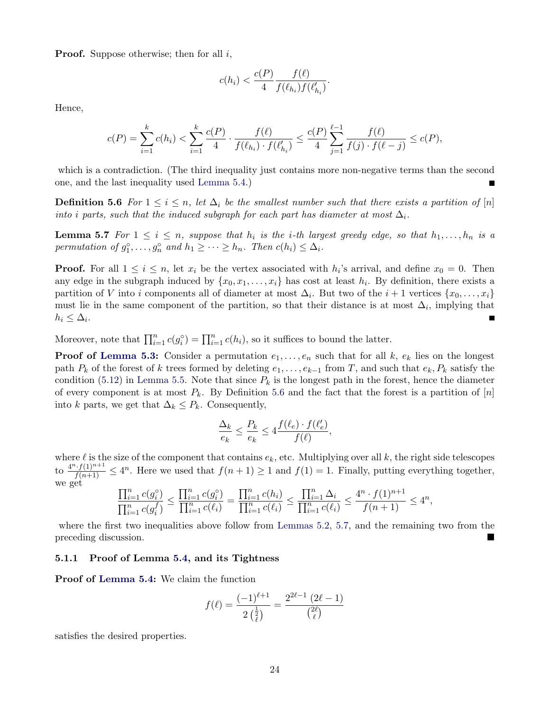**Proof.** Suppose otherwise; then for all  $i$ ,

$$
c(h_i) < \frac{c(P)}{4} \frac{f(\ell)}{f(\ell_{h_i}) f(\ell'_{h_i})}.
$$

Hence,

$$
c(P) = \sum_{i=1}^{k} c(h_i) < \sum_{i=1}^{k} \frac{c(P)}{4} \cdot \frac{f(\ell)}{f(\ell_{h_i}) \cdot f(\ell'_{h_i})} \le \frac{c(P)}{4} \sum_{j=1}^{\ell-1} \frac{f(\ell)}{f(j) \cdot f(\ell-j)} \le c(P),
$$

which is a contradiction. (The third inequality just contains more non-negative terms than the second one, and the last inequality used [Lemma 5.4.](#page-22-1))

<span id="page-23-1"></span>**Definition 5.6** For  $1 \leq i \leq n$ , let  $\Delta_i$  be the smallest number such that there exists a partition of  $[n]$ into i parts, such that the induced subgraph for each part has diameter at most  $\Delta_i$ .

<span id="page-23-2"></span>**Lemma 5.7** For  $1 \leq i \leq n$ , suppose that  $h_i$  is the *i*-th largest greedy edge, so that  $h_1, \ldots, h_n$  is a permutation of  $g_1^{\circ}, \ldots, g_n^{\circ}$  and  $h_1 \geq \cdots \geq h_n$ . Then  $c(h_i) \leq \Delta_i$ .

**Proof.** For all  $1 \leq i \leq n$ , let  $x_i$  be the vertex associated with  $h_i$ 's arrival, and define  $x_0 = 0$ . Then any edge in the subgraph induced by  $\{x_0, x_1, \ldots, x_i\}$  has cost at least  $h_i$ . By definition, there exists a partition of V into i components all of diameter at most  $\Delta_i$ . But two of the  $i+1$  vertices  $\{x_0, \ldots, x_i\}$ must lie in the same component of the partition, so that their distance is at most  $\Delta_i$ , implying that  $h_i \leq \Delta_i$ . Г

Moreover, note that  $\prod_{i=1}^{n} c(g_i^{\circ}) = \prod_{i=1}^{n} c(h_i)$ , so it suffices to bound the latter.

**Proof of [Lemma 5.3:](#page-22-2)** Consider a permutation  $e_1, \ldots, e_n$  such that for all k,  $e_k$  lies on the longest path  $P_k$  of the forest of k trees formed by deleting  $e_1, \ldots, e_{k-1}$  from T, and such that  $e_k, P_k$  satisfy the condition [\(5.12\)](#page-22-3) in [Lemma 5.5.](#page-22-4) Note that since  $P_k$  is the longest path in the forest, hence the diameter of every component is at most  $P_k$ . By Definition [5.6](#page-23-1) and the fact that the forest is a partition of  $[n]$ into k parts, we get that  $\Delta_k \leq P_k$ . Consequently,

$$
\frac{\Delta_k}{e_k} \le \frac{P_k}{e_k} \le 4 \frac{f(\ell_e) \cdot f(\ell'_e)}{f(\ell)},
$$

where  $\ell$  is the size of the component that contains  $e_k$ , etc. Multiplying over all k, the right side telescopes to  $\frac{4^n \cdot f(1)^{n+1}}{f(n+1)} \leq 4^n$ . Here we used that  $f(n+1) \geq 1$  and  $f(1) = 1$ . Finally, putting everything together, we get

$$
\frac{\prod_{i=1}^n c(g_i^{\circ})}{\prod_{i=1}^n c(g_i^f)} \le \frac{\prod_{i=1}^n c(g_i^{\circ})}{\prod_{i=1}^n c(\ell_i)} = \frac{\prod_{i=1}^n c(h_i)}{\prod_{i=1}^n c(\ell_i)} \le \frac{\prod_{i=1}^n \Delta_i}{\prod_{i=1}^n c(\ell_i)} \le \frac{4^n \cdot f(1)^{n+1}}{f(n+1)} \le 4^n,
$$

where the first two inequalities above follow from [Lemmas 5.2,](#page-22-5) [5.7,](#page-23-2) and the remaining two from the preceding discussion.

#### <span id="page-23-0"></span>5.1.1 Proof of Lemma [5.4,](#page-22-1) and its Tightness

Proof of [Lemma 5.4:](#page-22-1) We claim the function

$$
f(\ell) = \frac{(-1)^{\ell+1}}{2\left(\frac{1}{\ell}\right)} = \frac{2^{2\ell-1} (2\ell-1)}{\binom{2\ell}{\ell}}
$$

satisfies the desired properties.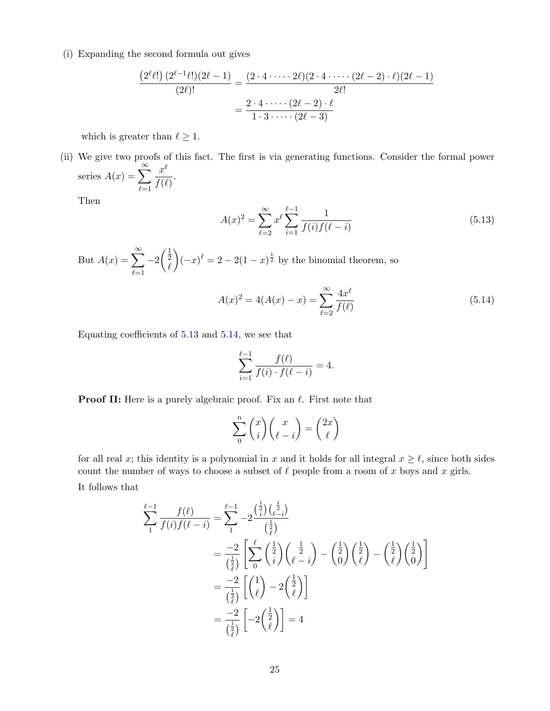(i) Expanding the second formula out gives

$$
\frac{(2^{\ell}\ell!)(2^{\ell-1}\ell!)(2\ell-1)}{(2\ell)!} = \frac{(2 \cdot 4 \cdot \dots \cdot 2\ell)(2 \cdot 4 \cdot \dots \cdot (2\ell-2) \cdot \ell)(2\ell-1)}{2\ell!}
$$

$$
= \frac{2 \cdot 4 \cdot \dots \cdot (2\ell-2) \cdot \ell}{1 \cdot 3 \cdot \dots \cdot (2\ell-3)}
$$

which is greater than  $\ell \geq 1.$ 

 $_{\ell=1}$ 

(ii) We give two proofs of this fact. The first is via generating functions. Consider the formal power series  $A(x) = \sum_{n=0}^{\infty}$  $x^{\ell}$  $\frac{x}{f(\ell)}$ .

Then

<span id="page-24-0"></span>
$$
A(x)^{2} = \sum_{\ell=2}^{\infty} x^{\ell} \sum_{i=1}^{\ell-1} \frac{1}{f(i)f(\ell-i)}
$$
(5.13)

But  $A(x) = \sum_{n=0}^{\infty}$  $_{\ell=1}$  $-2\left(\frac{1}{2}\right)$  $\ell$  $(-x)^{\ell} = 2 - 2(1 - x)^{\frac{1}{2}}$  by the binomial theorem, so

<span id="page-24-1"></span>
$$
A(x)^{2} = 4(A(x) - x) = \sum_{\ell=2}^{\infty} \frac{4x^{\ell}}{f(\ell)}
$$
(5.14)

Equating coefficients of [5.13](#page-24-0) and [5.14,](#page-24-1) we see that

$$
\sum_{i=1}^{\ell-1} \frac{f(\ell)}{f(i) \cdot f(\ell - i)} = 4.
$$

**Proof II:** Here is a purely algebraic proof. Fix an  $\ell$ . First note that

$$
\sum_{0}^{n} \binom{x}{i} \binom{x}{\ell-i} = \binom{2x}{\ell}
$$

for all real x; this identity is a polynomial in x and it holds for all integral  $x \ge \ell$ , since both sides count the number of ways to choose a subset of  $\ell$  people from a room of x boys and x girls. It follows that

$$
\sum_{1}^{\ell-1} \frac{f(\ell)}{f(i)f(\ell-i)} = \sum_{1}^{\ell-1} -2 \frac{\left(\frac{1}{2}\right)\left(\frac{1}{\ell-i}\right)}{\left(\frac{1}{\ell}\right)}
$$
  

$$
= \frac{-2}{\left(\frac{1}{2}\right)} \left[\sum_{0}^{\ell} \left(\frac{1}{2}\right) \left(\frac{1}{\ell-i}\right) - \left(\frac{1}{2}\right) \left(\frac{1}{\ell}\right) - \left(\frac{1}{2}\right) \left(\frac{1}{2}\right) \right]
$$
  

$$
= \frac{-2}{\left(\frac{1}{2}\right)} \left[\binom{1}{\ell} - 2\binom{1}{\ell}\right]
$$
  

$$
= \frac{-2}{\left(\frac{1}{2}\right)} \left[-2\binom{1}{\ell}\right] = 4
$$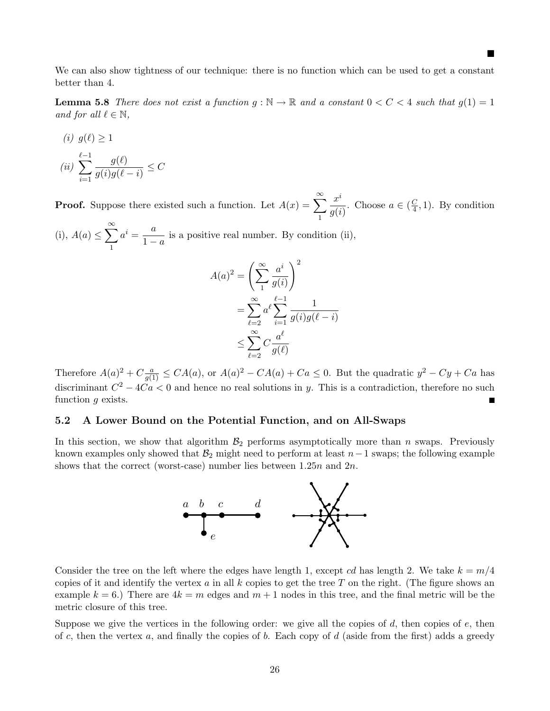We can also show tightness of our technique: there is no function which can be used to get a constant better than 4.

 $\blacksquare$ 

**Lemma 5.8** There does not exist a function  $g : \mathbb{N} \to \mathbb{R}$  and a constant  $0 < C < 4$  such that  $g(1) = 1$ and for all  $\ell \in \mathbb{N}$ ,

(i) 
$$
g(\ell) \ge 1
$$
  
\n(ii) 
$$
\sum_{i=1}^{\ell-1} \frac{g(\ell)}{g(i)g(\ell-i)} \le C
$$

**Proof.** Suppose there existed such a function. Let  $A(x) = \sum_{n=0}^{\infty}$ 1  $x^i$  $\frac{x}{g(i)}$ . Choose  $a \in (\frac{C}{4})$  $(\frac{C}{4}, 1)$ . By condition

(i),  $A(a) \leq \sum_{n=1}^{\infty}$ 1  $a^i = \frac{a}{1}$  $\frac{a}{1-a}$  is a positive real number. By condition (ii),

$$
A(a)^2 = \left(\sum_{1}^{\infty} \frac{a^i}{g(i)}\right)^2
$$
  
= 
$$
\sum_{\ell=2}^{\infty} a^{\ell} \sum_{i=1}^{\ell-1} \frac{1}{g(i)g(\ell-i)}
$$
  

$$
\leq \sum_{\ell=2}^{\infty} C \frac{a^{\ell}}{g(\ell)}
$$

Therefore  $A(a)^2 + C \frac{a}{g(1)} \leq CA(a)$ , or  $A(a)^2 - CA(a) + Ca \leq 0$ . But the quadratic  $y^2 - Cy + Ca$  has discriminant  $C^2 - 4Ca < 0$  and hence no real solutions in y. This is a contradiction, therefore no such function  $q$  exists. Г

## <span id="page-25-0"></span>5.2 A Lower Bound on the Potential Function, and on All-Swaps

In this section, we show that algorithm  $\mathcal{B}_2$  performs asymptotically more than n swaps. Previously known examples only showed that  $\mathcal{B}_2$  might need to perform at least  $n-1$  swaps; the following example shows that the correct (worst-case) number lies between  $1.25n$  and  $2n$ .



Consider the tree on the left where the edges have length 1, except cd has length 2. We take  $k = m/4$ copies of it and identify the vertex a in all k copies to get the tree T on the right. (The figure shows an example  $k = 6$ .) There are  $4k = m$  edges and  $m + 1$  nodes in this tree, and the final metric will be the metric closure of this tree.

Suppose we give the vertices in the following order: we give all the copies of  $d$ , then copies of  $e$ , then of c, then the vertex a, and finally the copies of b. Each copy of d (aside from the first) adds a greedy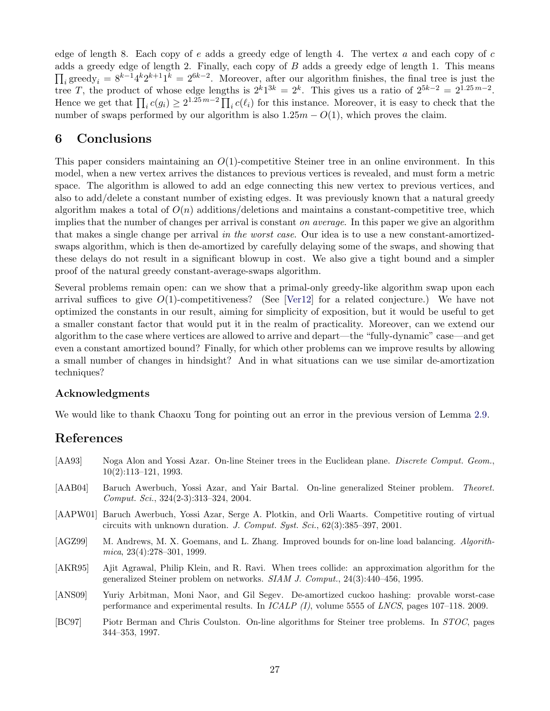edge of length 8. Each copy of  $e$  adds a greedy edge of length 4. The vertex  $a$  and each copy of  $c$ adds a greedy edge of length 2. Finally, each copy of  $B$  adds a greedy edge of length 1. This means  $\prod_i$ greedy<sub>i</sub> = 8<sup>k-1</sup>4<sup>k</sup>2<sup>k+1</sup>1<sup>k</sup> = 2<sup>6k-2</sup>. Moreover, after our algorithm finishes, the final tree is just the tree T, the product of whose edge lengths is  $2^k1^{3k} = 2^k$ . This gives us a ratio of  $2^{5k-2} = 2^{1.25m-2}$ . Hence we get that  $\prod_i c(g_i) \geq 2^{1.25 m - 2} \prod_i c(\ell_i)$  for this instance. Moreover, it is easy to check that the number of swaps performed by our algorithm is also  $1.25m - O(1)$ , which proves the claim.

# 6 Conclusions

This paper considers maintaining an  $O(1)$ -competitive Steiner tree in an online environment. In this model, when a new vertex arrives the distances to previous vertices is revealed, and must form a metric space. The algorithm is allowed to add an edge connecting this new vertex to previous vertices, and also to add/delete a constant number of existing edges. It was previously known that a natural greedy algorithm makes a total of  $O(n)$  additions/deletions and maintains a constant-competitive tree, which implies that the number of changes per arrival is constant on average. In this paper we give an algorithm that makes a single change per arrival in the worst case. Our idea is to use a new constant-amortizedswaps algorithm, which is then de-amortized by carefully delaying some of the swaps, and showing that these delays do not result in a significant blowup in cost. We also give a tight bound and a simpler proof of the natural greedy constant-average-swaps algorithm.

Several problems remain open: can we show that a primal-only greedy-like algorithm swap upon each arrival suffices to give  $O(1)$ -competitiveness? (See [\[Ver12\]](#page-27-2) for a related conjecture.) We have not optimized the constants in our result, aiming for simplicity of exposition, but it would be useful to get a smaller constant factor that would put it in the realm of practicality. Moreover, can we extend our algorithm to the case where vertices are allowed to arrive and depart—the "fully-dynamic" case—and get even a constant amortized bound? Finally, for which other problems can we improve results by allowing a small number of changes in hindsight? And in what situations can we use similar de-amortization techniques?

# Acknowledgments

We would like to thank Chaoxu Tong for pointing out an error in the previous version of Lemma [2.9.](#page-7-0)

# References

- <span id="page-26-0"></span>[AA93] Noga Alon and Yossi Azar. On-line Steiner trees in the Euclidean plane. Discrete Comput. Geom., 10(2):113–121, 1993.
- <span id="page-26-2"></span>[AAB04] Baruch Awerbuch, Yossi Azar, and Yair Bartal. On-line generalized Steiner problem. Theoret. Comput. Sci., 324(2-3):313–324, 2004.
- <span id="page-26-5"></span>[AAPW01] Baruch Awerbuch, Yossi Azar, Serge A. Plotkin, and Orli Waarts. Competitive routing of virtual circuits with unknown duration. J. Comput. Syst. Sci.,  $62(3)$ : 385–397, 2001.
- <span id="page-26-4"></span>[AGZ99] M. Andrews, M. X. Goemans, and L. Zhang. Improved bounds for on-line load balancing. Algorithmica, 23(4):278–301, 1999.
- <span id="page-26-1"></span>[AKR95] Ajit Agrawal, Philip Klein, and R. Ravi. When trees collide: an approximation algorithm for the generalized Steiner problem on networks. SIAM J. Comput., 24(3):440–456, 1995.
- <span id="page-26-6"></span>[ANS09] Yuriy Arbitman, Moni Naor, and Gil Segev. De-amortized cuckoo hashing: provable worst-case performance and experimental results. In ICALP (I), volume 5555 of LNCS, pages 107–118. 2009.
- <span id="page-26-3"></span>[BC97] Piotr Berman and Chris Coulston. On-line algorithms for Steiner tree problems. In STOC, pages 344–353, 1997.